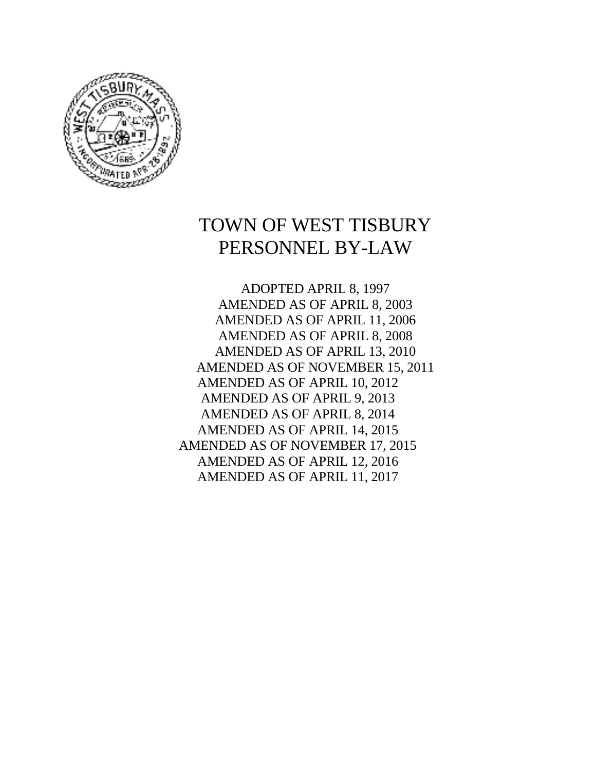

# TOWN OF WEST TISBURY PERSONNEL BY-LAW

ADOPTED APRIL 8, 1997 AMENDED AS OF APRIL 8, 2003 AMENDED AS OF APRIL 11, 2006 AMENDED AS OF APRIL 8, 2008 AMENDED AS OF APRIL 13, 2010 AMENDED AS OF NOVEMBER 15, 2011 AMENDED AS OF APRIL 10, 2012 AMENDED AS OF APRIL 9, 2013 AMENDED AS OF APRIL 8, 2014 AMENDED AS OF APRIL 14, 2015 AMENDED AS OF NOVEMBER 17, 2015 AMENDED AS OF APRIL 12, 2016 AMENDED AS OF APRIL 11, 2017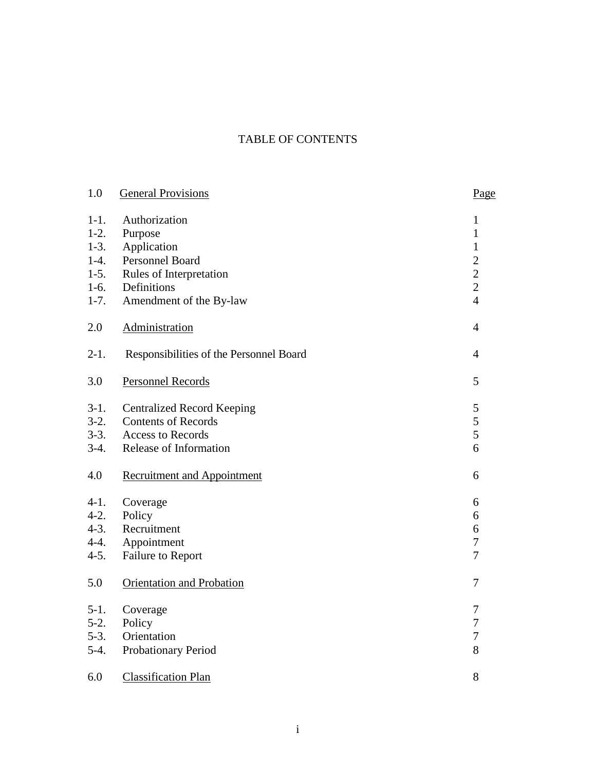# TABLE OF CONTENTS

| 1.0       | <b>General Provisions</b>               | Page           |
|-----------|-----------------------------------------|----------------|
| $1-1.$    | Authorization                           | 1              |
| $1-2.$    | Purpose                                 | $\mathbf{1}$   |
| $1-3.$    | Application                             | $\mathbf{1}$   |
| $1-4.$    | Personnel Board                         | $\overline{2}$ |
| $1-5.$    | Rules of Interpretation                 | $\overline{2}$ |
| $1-6.$    | Definitions                             | $\overline{2}$ |
| $1 - 7.$  | Amendment of the By-law                 | $\overline{4}$ |
| 2.0       | Administration                          | $\overline{4}$ |
| $2-1.$    | Responsibilities of the Personnel Board | $\overline{4}$ |
| 3.0       | <b>Personnel Records</b>                | 5              |
| $3-1.$    | <b>Centralized Record Keeping</b>       | 5              |
| $3-2.$    | <b>Contents of Records</b>              | 5              |
| $3-3.$    | <b>Access to Records</b>                | 5              |
| $3-4.$    | Release of Information                  | 6              |
| 4.0       | <b>Recruitment and Appointment</b>      | 6              |
| $4-1.$    | Coverage                                | 6              |
| $4-2.$    | Policy                                  | 6              |
| $4 - 3$ . | Recruitment                             | 6              |
| $4 - 4.$  | Appointment                             | $\overline{7}$ |
| $4 - 5.$  | Failure to Report                       | $\overline{7}$ |
| 5.0       | Orientation and Probation               | $\tau$         |
| $5-1.$    | Coverage                                | 7              |
| $5-2.$    | Policy                                  | $\tau$         |
| $5-3.$    | Orientation                             | $\overline{7}$ |
| $5-4.$    | Probationary Period                     | 8              |
| 6.0       | <b>Classification Plan</b>              | 8              |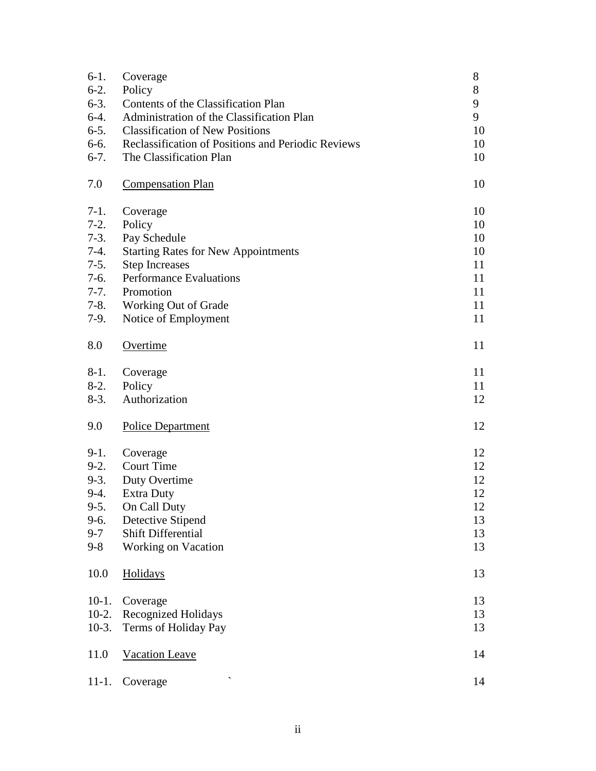| $6-1.$   | Coverage                                           | 8  |
|----------|----------------------------------------------------|----|
| $6-2.$   | Policy                                             | 8  |
| $6-3.$   | Contents of the Classification Plan                | 9  |
| $6-4.$   | Administration of the Classification Plan          | 9  |
| $6-5.$   | <b>Classification of New Positions</b>             | 10 |
| $6-6.$   | Reclassification of Positions and Periodic Reviews | 10 |
| $6-7.$   | The Classification Plan                            | 10 |
| 7.0      | <b>Compensation Plan</b>                           | 10 |
| $7-1.$   | Coverage                                           | 10 |
| $7-2.$   | Policy                                             | 10 |
| $7-3.$   | Pay Schedule                                       | 10 |
| $7-4.$   | <b>Starting Rates for New Appointments</b>         | 10 |
| $7-5.$   | <b>Step Increases</b>                              | 11 |
| $7-6.$   | <b>Performance Evaluations</b>                     | 11 |
| $7-7.$   | Promotion                                          | 11 |
| $7-8.$   | Working Out of Grade                               | 11 |
| $7-9.$   | Notice of Employment                               | 11 |
| 8.0      | Overtime                                           | 11 |
| $8-1.$   | Coverage                                           | 11 |
| $8-2.$   | Policy                                             | 11 |
| $8-3.$   | Authorization                                      | 12 |
| 9.0      | <b>Police Department</b>                           | 12 |
| $9-1.$   | Coverage                                           | 12 |
| $9-2.$   | <b>Court Time</b>                                  | 12 |
| $9-3.$   | Duty Overtime                                      | 12 |
| $9-4.$   | <b>Extra Duty</b>                                  | 12 |
| $9 - 5.$ | On Call Duty                                       | 12 |
| $9-6.$   | Detective Stipend                                  | 13 |
| $9 - 7$  | <b>Shift Differential</b>                          | 13 |
| $9 - 8$  | <b>Working on Vacation</b>                         | 13 |
| 10.0     | Holidays                                           | 13 |
| $10-1.$  | Coverage                                           | 13 |
| $10-2.$  | <b>Recognized Holidays</b>                         | 13 |
| $10-3.$  | Terms of Holiday Pay                               | 13 |
| 11.0     | Vacation Leave                                     | 14 |
| $11-1.$  | Coverage                                           | 14 |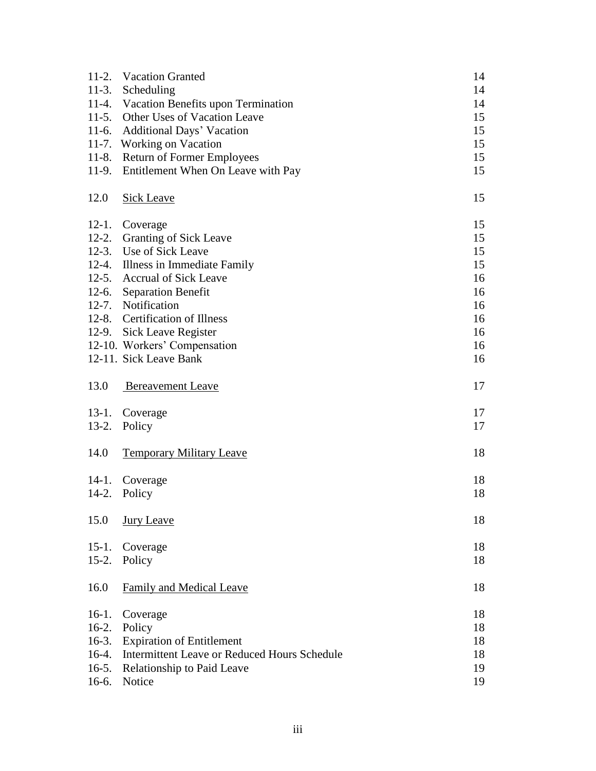|         | 11-2. Vacation Granted                              | 14 |
|---------|-----------------------------------------------------|----|
|         | 11-3. Scheduling                                    | 14 |
|         | 11-4. Vacation Benefits upon Termination            | 14 |
|         | 11-5. Other Uses of Vacation Leave                  | 15 |
|         | 11-6. Additional Days' Vacation                     | 15 |
|         | 11-7. Working on Vacation                           | 15 |
| $11-8.$ | <b>Return of Former Employees</b>                   | 15 |
| $11-9.$ | Entitlement When On Leave with Pay                  | 15 |
| 12.0    | Sick Leave                                          | 15 |
| $12-1.$ | Coverage                                            | 15 |
|         | 12-2. Granting of Sick Leave                        | 15 |
|         | 12-3. Use of Sick Leave                             | 15 |
|         | 12-4. Illness in Immediate Family                   | 15 |
|         | 12-5. Accrual of Sick Leave                         | 16 |
|         | 12-6. Separation Benefit                            | 16 |
|         | 12-7. Notification                                  | 16 |
|         | 12-8. Certification of Illness                      | 16 |
|         | 12-9. Sick Leave Register                           | 16 |
|         | 12-10. Workers' Compensation                        | 16 |
|         | 12-11. Sick Leave Bank                              | 16 |
| 13.0    | <b>Bereavement Leave</b>                            | 17 |
|         | 13-1. Coverage                                      | 17 |
| $13-2.$ | Policy                                              | 17 |
|         |                                                     |    |
| 14.0    | <b>Temporary Military Leave</b>                     | 18 |
| $14-1.$ | Coverage                                            | 18 |
| $14-2.$ | Policy                                              | 18 |
| 15.0    | Jury Leave                                          | 18 |
| $15-1.$ | Coverage                                            | 18 |
| $15-2.$ | Policy                                              | 18 |
| 16.0    | <b>Family and Medical Leave</b>                     | 18 |
| $16-1.$ | Coverage                                            | 18 |
| $16-2.$ | Policy                                              | 18 |
| $16-3.$ | <b>Expiration of Entitlement</b>                    | 18 |
| $16-4.$ | <b>Intermittent Leave or Reduced Hours Schedule</b> | 18 |
| $16-5.$ | Relationship to Paid Leave                          | 19 |
| $16-6.$ | Notice                                              | 19 |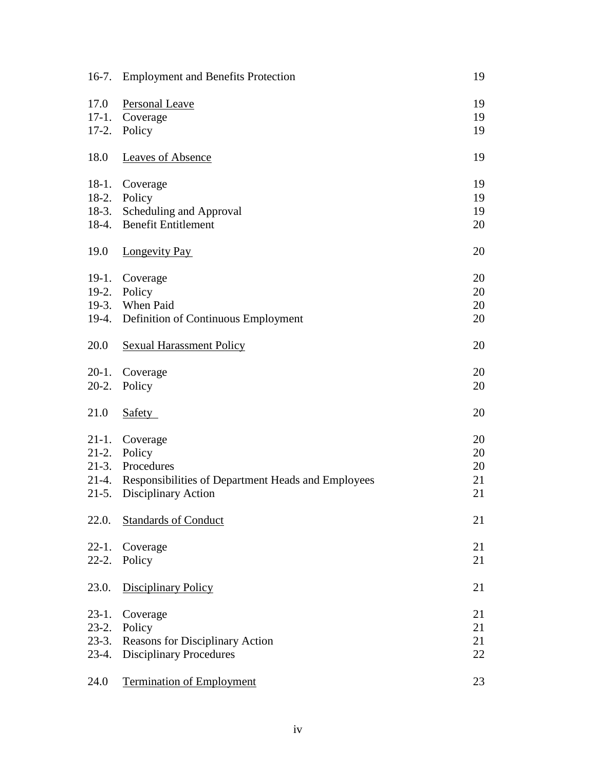| $16-7.$    | <b>Employment and Benefits Protection</b>          | 19 |
|------------|----------------------------------------------------|----|
| 17.0       | <b>Personal Leave</b>                              | 19 |
| $17-1.$    | Coverage                                           | 19 |
| $17-2.$    | Policy                                             | 19 |
| 18.0       | <b>Leaves of Absence</b>                           | 19 |
| $18-1.$    | Coverage                                           | 19 |
|            | 18-2. Policy                                       | 19 |
| $18-3.$    | Scheduling and Approval                            | 19 |
|            | 18-4. Benefit Entitlement                          | 20 |
| 19.0       | Longevity Pay                                      | 20 |
| $19-1.$    | Coverage                                           | 20 |
| $19-2.$    | Policy                                             | 20 |
|            | 19-3. When Paid                                    | 20 |
|            | 19-4. Definition of Continuous Employment          | 20 |
| 20.0       | <b>Sexual Harassment Policy</b>                    | 20 |
| $20-1.$    | Coverage                                           | 20 |
| $20-2.$    | Policy                                             | 20 |
| 21.0       | Safety                                             | 20 |
| $21-1.$    | Coverage                                           | 20 |
|            | 21-2. Policy                                       | 20 |
|            | 21-3. Procedures                                   | 20 |
| $21 - 4.$  | Responsibilities of Department Heads and Employees | 21 |
| $21-5.$    | Disciplinary Action                                | 21 |
| 22.0.      | <b>Standards of Conduct</b>                        | 21 |
| $22 - 1$ . | Coverage                                           | 21 |
| $22 - 2.$  | Policy                                             | 21 |
| 23.0.      | <b>Disciplinary Policy</b>                         | 21 |
| $23-1.$    | Coverage                                           | 21 |
| $23-2.$    | Policy                                             | 21 |
| $23-3.$    | <b>Reasons for Disciplinary Action</b>             | 21 |
| $23-4.$    | <b>Disciplinary Procedures</b>                     | 22 |
| 24.0       | <b>Termination of Employment</b>                   | 23 |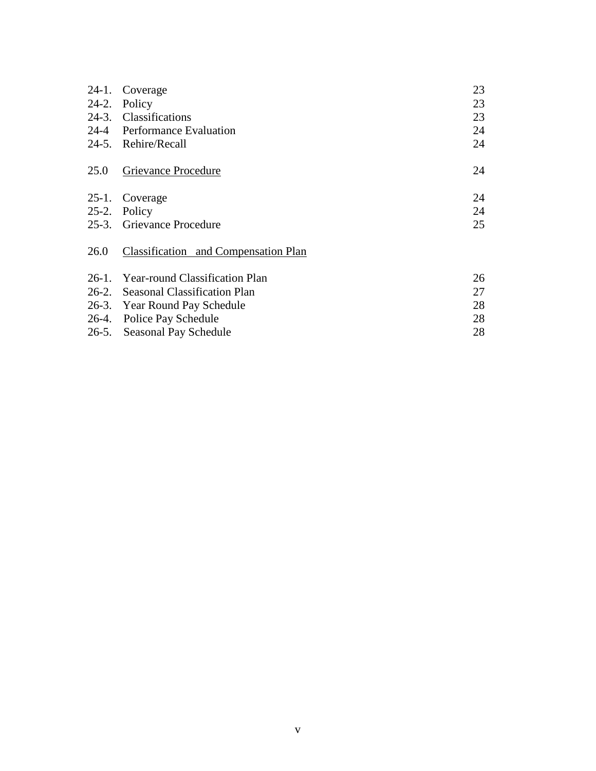| $24-1.$ | Coverage                             | 23 |
|---------|--------------------------------------|----|
| $24-2.$ | Policy                               | 23 |
|         | 24-3. Classifications                | 23 |
| 24-4    | <b>Performance Evaluation</b>        | 24 |
|         | 24-5. Rehire/Recall                  | 24 |
| 25.0    | Grievance Procedure                  | 24 |
| $25-1.$ | Coverage                             | 24 |
| $25-2.$ | Policy                               | 24 |
|         | 25-3. Grievance Procedure            | 25 |
| 26.0    | Classification and Compensation Plan |    |
|         | 26-1. Year-round Classification Plan | 26 |
|         | 26-2. Seasonal Classification Plan   | 27 |
|         | 26-3. Year Round Pay Schedule        | 28 |
|         | 26-4. Police Pay Schedule            | 28 |
| 26-5.   | Seasonal Pay Schedule                | 28 |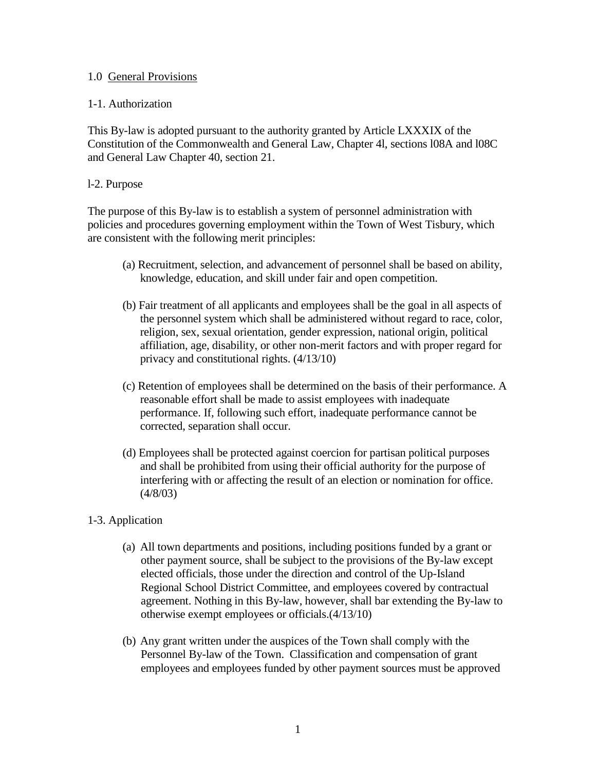#### 1.0 General Provisions

#### 1-1. Authorization

This By-law is adopted pursuant to the authority granted by Article LXXXIX of the Constitution of the Commonwealth and General Law, Chapter 4l, sections l08A and l08C and General Law Chapter 40, section 21.

### l-2. Purpose

The purpose of this By-law is to establish a system of personnel administration with policies and procedures governing employment within the Town of West Tisbury, which are consistent with the following merit principles:

- (a) Recruitment, selection, and advancement of personnel shall be based on ability, knowledge, education, and skill under fair and open competition.
- (b) Fair treatment of all applicants and employees shall be the goal in all aspects of the personnel system which shall be administered without regard to race, color, religion, sex, sexual orientation, gender expression, national origin, political affiliation, age, disability, or other non-merit factors and with proper regard for privacy and constitutional rights. (4/13/10)
- (c) Retention of employees shall be determined on the basis of their performance. A reasonable effort shall be made to assist employees with inadequate performance. If, following such effort, inadequate performance cannot be corrected, separation shall occur.
- (d) Employees shall be protected against coercion for partisan political purposes and shall be prohibited from using their official authority for the purpose of interfering with or affecting the result of an election or nomination for office. (4/8/03)

### 1-3. Application

- (a) All town departments and positions, including positions funded by a grant or other payment source, shall be subject to the provisions of the By-law except elected officials, those under the direction and control of the Up-Island Regional School District Committee, and employees covered by contractual agreement. Nothing in this By-law, however, shall bar extending the By-law to otherwise exempt employees or officials.(4/13/10)
- (b) Any grant written under the auspices of the Town shall comply with the Personnel By-law of the Town. Classification and compensation of grant employees and employees funded by other payment sources must be approved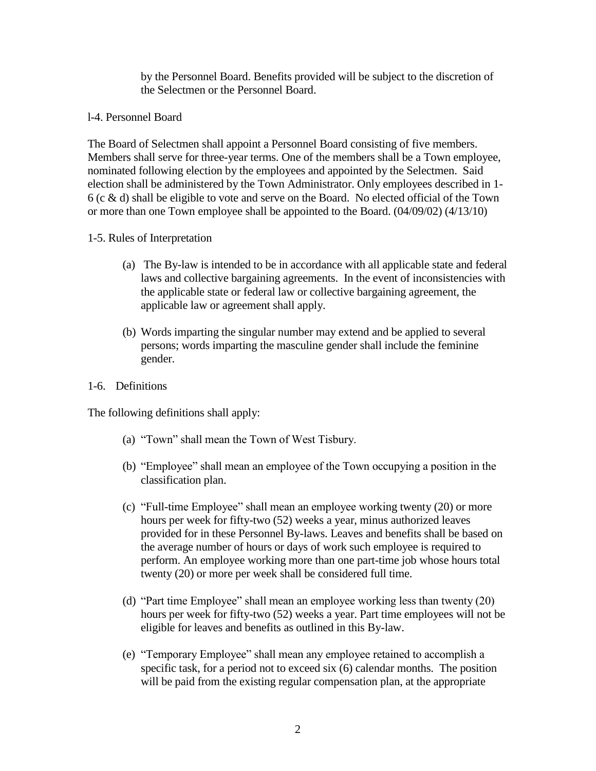by the Personnel Board. Benefits provided will be subject to the discretion of the Selectmen or the Personnel Board.

#### l-4. Personnel Board

The Board of Selectmen shall appoint a Personnel Board consisting of five members. Members shall serve for three-year terms. One of the members shall be a Town employee, nominated following election by the employees and appointed by the Selectmen. Said election shall be administered by the Town Administrator. Only employees described in 1-  $6$  (c  $\&$  d) shall be eligible to vote and serve on the Board. No elected official of the Town or more than one Town employee shall be appointed to the Board. (04/09/02) (4/13/10)

### 1-5. Rules of Interpretation

- (a) The By-law is intended to be in accordance with all applicable state and federal laws and collective bargaining agreements. In the event of inconsistencies with the applicable state or federal law or collective bargaining agreement, the applicable law or agreement shall apply.
- (b) Words imparting the singular number may extend and be applied to several persons; words imparting the masculine gender shall include the feminine gender.
- 1-6. Definitions

The following definitions shall apply:

- (a) "Town" shall mean the Town of West Tisbury.
- (b) "Employee" shall mean an employee of the Town occupying a position in the classification plan.
- (c) "Full-time Employee" shall mean an employee working twenty (20) or more hours per week for fifty-two (52) weeks a year, minus authorized leaves provided for in these Personnel By-laws. Leaves and benefits shall be based on the average number of hours or days of work such employee is required to perform. An employee working more than one part-time job whose hours total twenty (20) or more per week shall be considered full time.
- (d) "Part time Employee" shall mean an employee working less than twenty (20) hours per week for fifty-two (52) weeks a year. Part time employees will not be eligible for leaves and benefits as outlined in this By-law.
- (e) "Temporary Employee" shall mean any employee retained to accomplish a specific task, for a period not to exceed six (6) calendar months. The position will be paid from the existing regular compensation plan, at the appropriate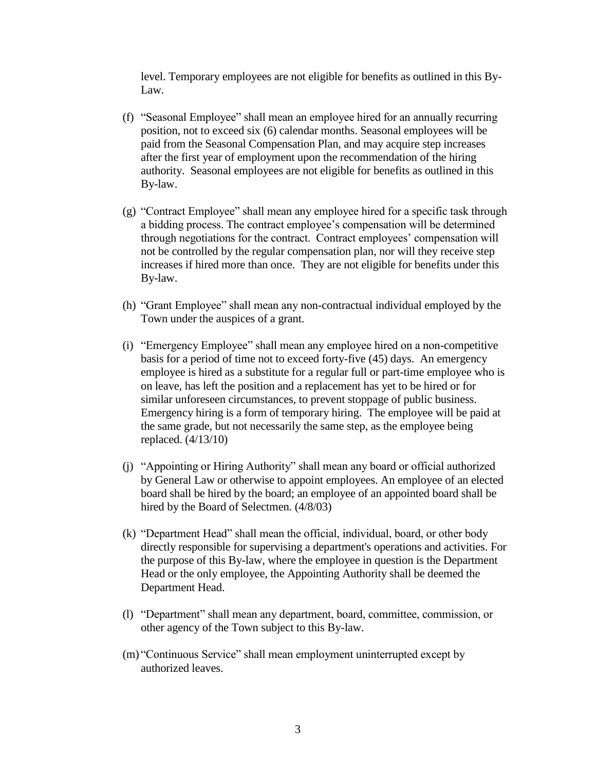level. Temporary employees are not eligible for benefits as outlined in this By-Law.

- (f) "Seasonal Employee" shall mean an employee hired for an annually recurring position, not to exceed six (6) calendar months. Seasonal employees will be paid from the Seasonal Compensation Plan, and may acquire step increases after the first year of employment upon the recommendation of the hiring authority. Seasonal employees are not eligible for benefits as outlined in this By-law.
- (g) "Contract Employee" shall mean any employee hired for a specific task through a bidding process. The contract employee's compensation will be determined through negotiations for the contract. Contract employees' compensation will not be controlled by the regular compensation plan, nor will they receive step increases if hired more than once. They are not eligible for benefits under this By-law.
- (h) "Grant Employee" shall mean any non-contractual individual employed by the Town under the auspices of a grant.
- (i) "Emergency Employee" shall mean any employee hired on a non-competitive basis for a period of time not to exceed forty-five (45) days. An emergency employee is hired as a substitute for a regular full or part-time employee who is on leave, has left the position and a replacement has yet to be hired or for similar unforeseen circumstances, to prevent stoppage of public business. Emergency hiring is a form of temporary hiring. The employee will be paid at the same grade, but not necessarily the same step, as the employee being replaced. (4/13/10)
- (j) "Appointing or Hiring Authority" shall mean any board or official authorized by General Law or otherwise to appoint employees. An employee of an elected board shall be hired by the board; an employee of an appointed board shall be hired by the Board of Selectmen. (4/8/03)
- (k) "Department Head" shall mean the official, individual, board, or other body directly responsible for supervising a department's operations and activities. For the purpose of this By-law, where the employee in question is the Department Head or the only employee, the Appointing Authority shall be deemed the Department Head.
- (l) "Department" shall mean any department, board, committee, commission, or other agency of the Town subject to this By-law.
- (m) "Continuous Service" shall mean employment uninterrupted except by authorized leaves.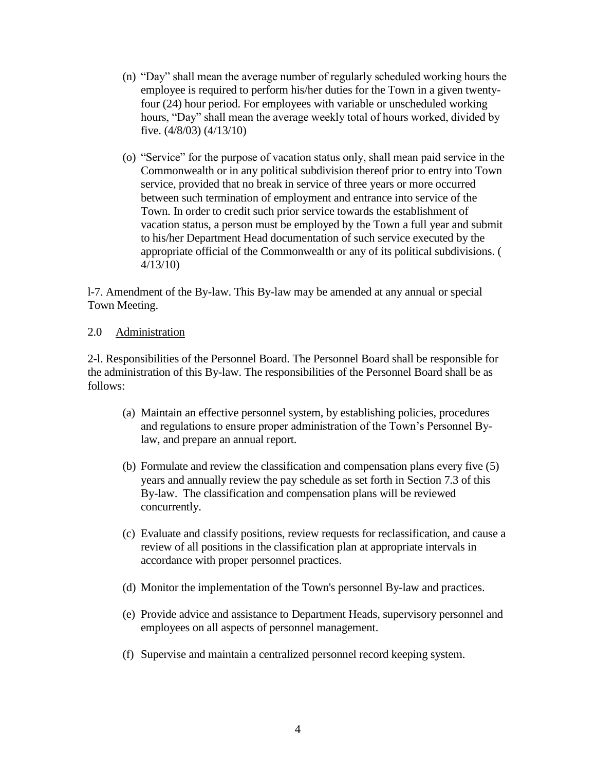- (n) "Day" shall mean the average number of regularly scheduled working hours the employee is required to perform his/her duties for the Town in a given twentyfour (24) hour period. For employees with variable or unscheduled working hours, "Day" shall mean the average weekly total of hours worked, divided by five. (4/8/03) (4/13/10)
- (o) "Service" for the purpose of vacation status only, shall mean paid service in the Commonwealth or in any political subdivision thereof prior to entry into Town service, provided that no break in service of three years or more occurred between such termination of employment and entrance into service of the Town. In order to credit such prior service towards the establishment of vacation status, a person must be employed by the Town a full year and submit to his/her Department Head documentation of such service executed by the appropriate official of the Commonwealth or any of its political subdivisions. ( 4/13/10)

l-7. Amendment of the By-law. This By-law may be amended at any annual or special Town Meeting.

### 2.0 Administration

2-l. Responsibilities of the Personnel Board. The Personnel Board shall be responsible for the administration of this By-law. The responsibilities of the Personnel Board shall be as follows:

- (a) Maintain an effective personnel system, by establishing policies, procedures and regulations to ensure proper administration of the Town's Personnel Bylaw, and prepare an annual report.
- (b) Formulate and review the classification and compensation plans every five (5) years and annually review the pay schedule as set forth in Section 7.3 of this By-law. The classification and compensation plans will be reviewed concurrently.
- (c) Evaluate and classify positions, review requests for reclassification, and cause a review of all positions in the classification plan at appropriate intervals in accordance with proper personnel practices.
- (d) Monitor the implementation of the Town's personnel By-law and practices.
- (e) Provide advice and assistance to Department Heads, supervisory personnel and employees on all aspects of personnel management.
- (f) Supervise and maintain a centralized personnel record keeping system.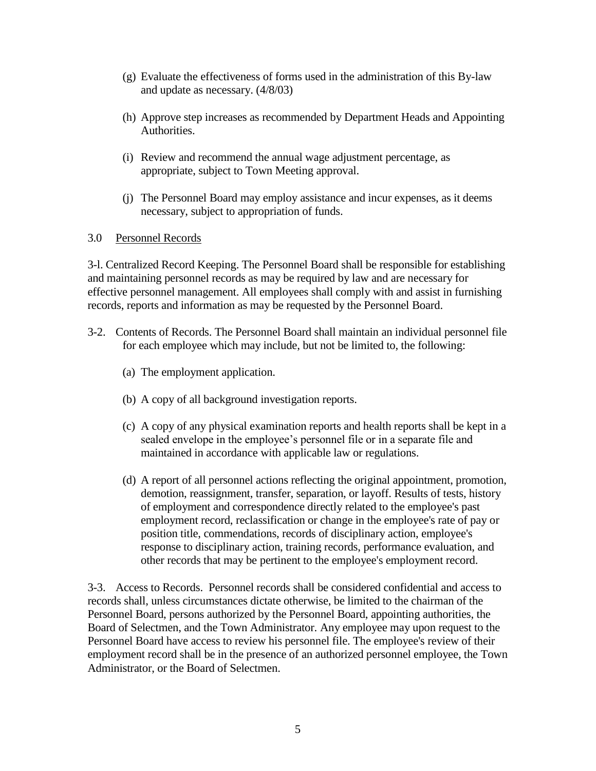- (g) Evaluate the effectiveness of forms used in the administration of this By-law and update as necessary. (4/8/03)
- (h) Approve step increases as recommended by Department Heads and Appointing Authorities.
- (i) Review and recommend the annual wage adjustment percentage, as appropriate, subject to Town Meeting approval.
- (j) The Personnel Board may employ assistance and incur expenses, as it deems necessary, subject to appropriation of funds.

### 3.0 Personnel Records

3-l. Centralized Record Keeping. The Personnel Board shall be responsible for establishing and maintaining personnel records as may be required by law and are necessary for effective personnel management. All employees shall comply with and assist in furnishing records, reports and information as may be requested by the Personnel Board.

- 3-2. Contents of Records. The Personnel Board shall maintain an individual personnel file for each employee which may include, but not be limited to, the following:
	- (a) The employment application.
	- (b) A copy of all background investigation reports.
	- (c) A copy of any physical examination reports and health reports shall be kept in a sealed envelope in the employee's personnel file or in a separate file and maintained in accordance with applicable law or regulations.
	- (d) A report of all personnel actions reflecting the original appointment, promotion, demotion, reassignment, transfer, separation, or layoff. Results of tests, history of employment and correspondence directly related to the employee's past employment record, reclassification or change in the employee's rate of pay or position title, commendations, records of disciplinary action, employee's response to disciplinary action, training records, performance evaluation, and other records that may be pertinent to the employee's employment record.

3-3. Access to Records. Personnel records shall be considered confidential and access to records shall, unless circumstances dictate otherwise, be limited to the chairman of the Personnel Board, persons authorized by the Personnel Board, appointing authorities, the Board of Selectmen, and the Town Administrator. Any employee may upon request to the Personnel Board have access to review his personnel file. The employee's review of their employment record shall be in the presence of an authorized personnel employee, the Town Administrator, or the Board of Selectmen.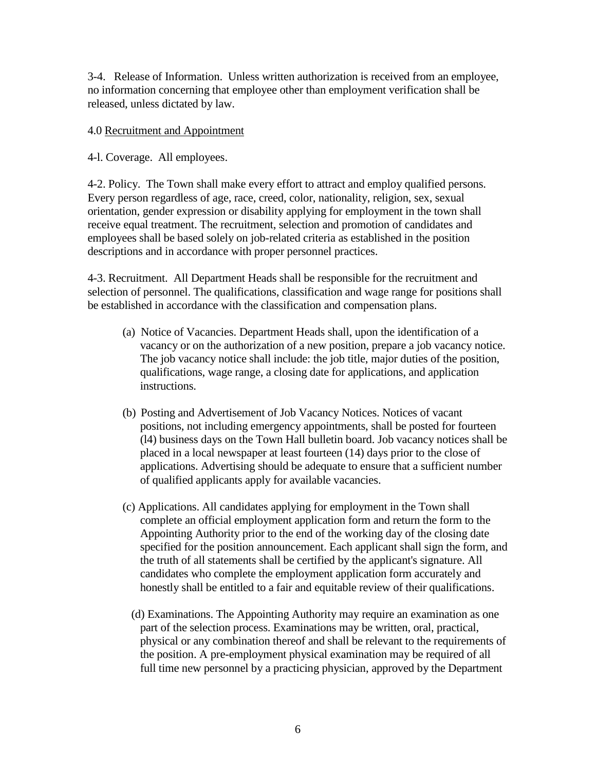3-4. Release of Information. Unless written authorization is received from an employee, no information concerning that employee other than employment verification shall be released, unless dictated by law.

### 4.0 Recruitment and Appointment

4-l. Coverage. All employees.

4-2. Policy. The Town shall make every effort to attract and employ qualified persons. Every person regardless of age, race, creed, color, nationality, religion, sex, sexual orientation, gender expression or disability applying for employment in the town shall receive equal treatment. The recruitment, selection and promotion of candidates and employees shall be based solely on job-related criteria as established in the position descriptions and in accordance with proper personnel practices.

4-3. Recruitment. All Department Heads shall be responsible for the recruitment and selection of personnel. The qualifications, classification and wage range for positions shall be established in accordance with the classification and compensation plans.

- (a) Notice of Vacancies. Department Heads shall, upon the identification of a vacancy or on the authorization of a new position, prepare a job vacancy notice. The job vacancy notice shall include: the job title, major duties of the position, qualifications, wage range, a closing date for applications, and application instructions.
- (b) Posting and Advertisement of Job Vacancy Notices. Notices of vacant positions, not including emergency appointments, shall be posted for fourteen (l4) business days on the Town Hall bulletin board. Job vacancy notices shall be placed in a local newspaper at least fourteen (14) days prior to the close of applications. Advertising should be adequate to ensure that a sufficient number of qualified applicants apply for available vacancies.
- (c) Applications. All candidates applying for employment in the Town shall complete an official employment application form and return the form to the Appointing Authority prior to the end of the working day of the closing date specified for the position announcement. Each applicant shall sign the form, and the truth of all statements shall be certified by the applicant's signature. All candidates who complete the employment application form accurately and honestly shall be entitled to a fair and equitable review of their qualifications.
	- (d) Examinations. The Appointing Authority may require an examination as one part of the selection process. Examinations may be written, oral, practical, physical or any combination thereof and shall be relevant to the requirements of the position. A pre-employment physical examination may be required of all full time new personnel by a practicing physician, approved by the Department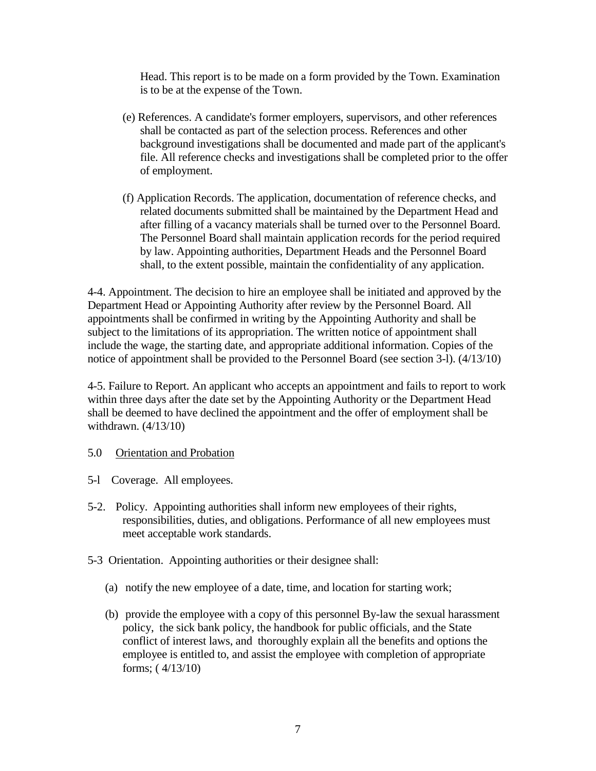Head. This report is to be made on a form provided by the Town. Examination is to be at the expense of the Town.

- (e) References. A candidate's former employers, supervisors, and other references shall be contacted as part of the selection process. References and other background investigations shall be documented and made part of the applicant's file. All reference checks and investigations shall be completed prior to the offer of employment.
- (f) Application Records. The application, documentation of reference checks, and related documents submitted shall be maintained by the Department Head and after filling of a vacancy materials shall be turned over to the Personnel Board. The Personnel Board shall maintain application records for the period required by law. Appointing authorities, Department Heads and the Personnel Board shall, to the extent possible, maintain the confidentiality of any application.

4-4. Appointment. The decision to hire an employee shall be initiated and approved by the Department Head or Appointing Authority after review by the Personnel Board. All appointments shall be confirmed in writing by the Appointing Authority and shall be subject to the limitations of its appropriation. The written notice of appointment shall include the wage, the starting date, and appropriate additional information. Copies of the notice of appointment shall be provided to the Personnel Board (see section 3-l). (4/13/10)

4-5. Failure to Report. An applicant who accepts an appointment and fails to report to work within three days after the date set by the Appointing Authority or the Department Head shall be deemed to have declined the appointment and the offer of employment shall be withdrawn. (4/13/10)

- 5.0 Orientation and Probation
- 5-l Coverage. All employees.
- 5-2. Policy. Appointing authorities shall inform new employees of their rights, responsibilities, duties, and obligations. Performance of all new employees must meet acceptable work standards.
- 5-3 Orientation. Appointing authorities or their designee shall:
	- (a) notify the new employee of a date, time, and location for starting work;
	- (b) provide the employee with a copy of this personnel By-law the sexual harassment policy, the sick bank policy, the handbook for public officials, and the State conflict of interest laws, and thoroughly explain all the benefits and options the employee is entitled to, and assist the employee with completion of appropriate forms; ( 4/13/10)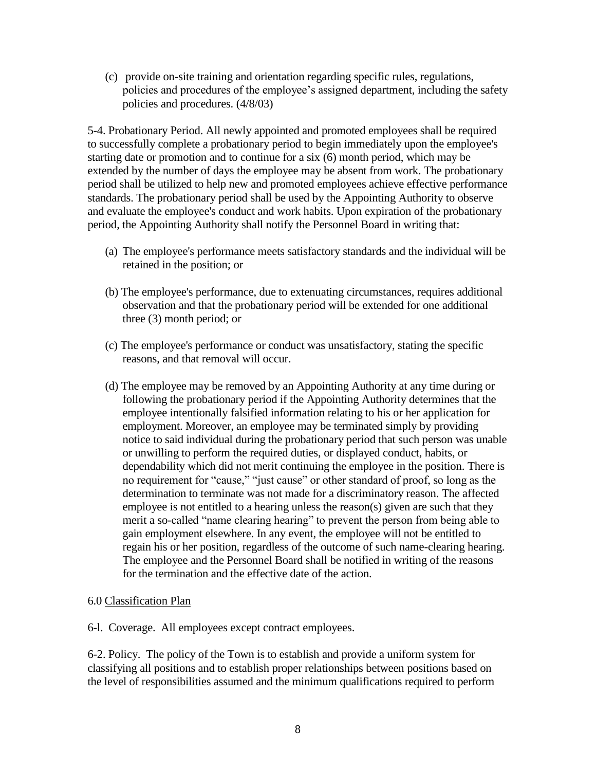(c) provide on-site training and orientation regarding specific rules, regulations, policies and procedures of the employee's assigned department, including the safety policies and procedures. (4/8/03)

5-4. Probationary Period. All newly appointed and promoted employees shall be required to successfully complete a probationary period to begin immediately upon the employee's starting date or promotion and to continue for a six (6) month period, which may be extended by the number of days the employee may be absent from work. The probationary period shall be utilized to help new and promoted employees achieve effective performance standards. The probationary period shall be used by the Appointing Authority to observe and evaluate the employee's conduct and work habits. Upon expiration of the probationary period, the Appointing Authority shall notify the Personnel Board in writing that:

- (a) The employee's performance meets satisfactory standards and the individual will be retained in the position; or
- (b) The employee's performance, due to extenuating circumstances, requires additional observation and that the probationary period will be extended for one additional three (3) month period; or
- (c) The employee's performance or conduct was unsatisfactory, stating the specific reasons, and that removal will occur.
- (d) The employee may be removed by an Appointing Authority at any time during or following the probationary period if the Appointing Authority determines that the employee intentionally falsified information relating to his or her application for employment. Moreover, an employee may be terminated simply by providing notice to said individual during the probationary period that such person was unable or unwilling to perform the required duties, or displayed conduct, habits, or dependability which did not merit continuing the employee in the position. There is no requirement for "cause," "just cause" or other standard of proof, so long as the determination to terminate was not made for a discriminatory reason. The affected employee is not entitled to a hearing unless the reason(s) given are such that they merit a so-called "name clearing hearing" to prevent the person from being able to gain employment elsewhere. In any event, the employee will not be entitled to regain his or her position, regardless of the outcome of such name-clearing hearing. The employee and the Personnel Board shall be notified in writing of the reasons for the termination and the effective date of the action.

#### 6.0 Classification Plan

6-l. Coverage. All employees except contract employees.

6-2. Policy. The policy of the Town is to establish and provide a uniform system for classifying all positions and to establish proper relationships between positions based on the level of responsibilities assumed and the minimum qualifications required to perform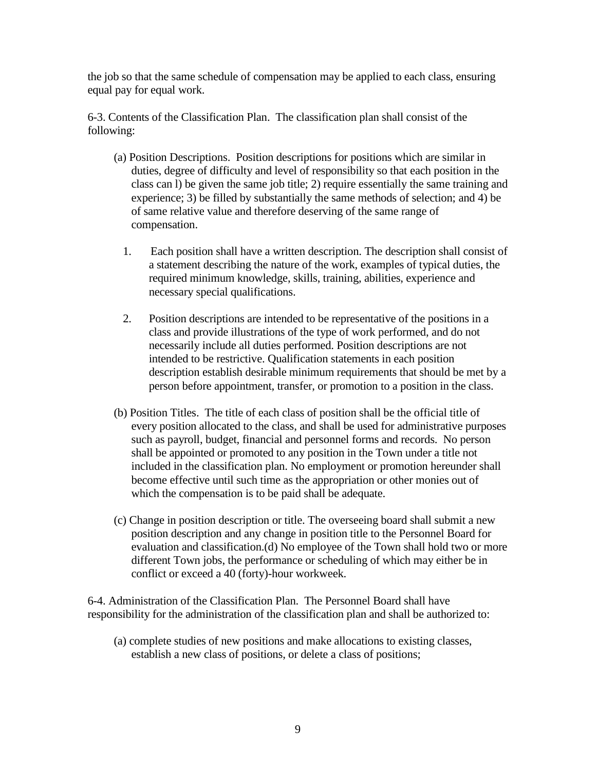the job so that the same schedule of compensation may be applied to each class, ensuring equal pay for equal work.

6-3. Contents of the Classification Plan. The classification plan shall consist of the following:

- (a) Position Descriptions. Position descriptions for positions which are similar in duties, degree of difficulty and level of responsibility so that each position in the class can l) be given the same job title; 2) require essentially the same training and experience; 3) be filled by substantially the same methods of selection; and 4) be of same relative value and therefore deserving of the same range of compensation.
	- 1. Each position shall have a written description. The description shall consist of a statement describing the nature of the work, examples of typical duties, the required minimum knowledge, skills, training, abilities, experience and necessary special qualifications.
	- 2. Position descriptions are intended to be representative of the positions in a class and provide illustrations of the type of work performed, and do not necessarily include all duties performed. Position descriptions are not intended to be restrictive. Qualification statements in each position description establish desirable minimum requirements that should be met by a person before appointment, transfer, or promotion to a position in the class.
- (b) Position Titles. The title of each class of position shall be the official title of every position allocated to the class, and shall be used for administrative purposes such as payroll, budget, financial and personnel forms and records. No person shall be appointed or promoted to any position in the Town under a title not included in the classification plan. No employment or promotion hereunder shall become effective until such time as the appropriation or other monies out of which the compensation is to be paid shall be adequate.
- (c) Change in position description or title. The overseeing board shall submit a new position description and any change in position title to the Personnel Board for evaluation and classification.(d) No employee of the Town shall hold two or more different Town jobs, the performance or scheduling of which may either be in conflict or exceed a 40 (forty)-hour workweek.

6-4. Administration of the Classification Plan. The Personnel Board shall have responsibility for the administration of the classification plan and shall be authorized to:

(a) complete studies of new positions and make allocations to existing classes, establish a new class of positions, or delete a class of positions;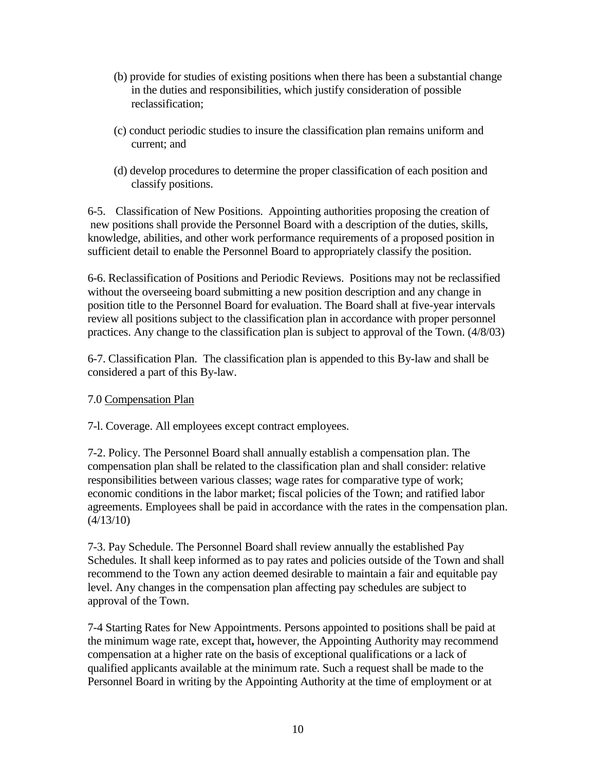- (b) provide for studies of existing positions when there has been a substantial change in the duties and responsibilities, which justify consideration of possible reclassification;
- (c) conduct periodic studies to insure the classification plan remains uniform and current; and
- (d) develop procedures to determine the proper classification of each position and classify positions.

6-5. Classification of New Positions. Appointing authorities proposing the creation of new positions shall provide the Personnel Board with a description of the duties, skills, knowledge, abilities, and other work performance requirements of a proposed position in sufficient detail to enable the Personnel Board to appropriately classify the position.

6-6. Reclassification of Positions and Periodic Reviews. Positions may not be reclassified without the overseeing board submitting a new position description and any change in position title to the Personnel Board for evaluation. The Board shall at five-year intervals review all positions subject to the classification plan in accordance with proper personnel practices. Any change to the classification plan is subject to approval of the Town. (4/8/03)

6-7. Classification Plan. The classification plan is appended to this By-law and shall be considered a part of this By-law.

### 7.0 Compensation Plan

7-l. Coverage. All employees except contract employees.

7-2. Policy. The Personnel Board shall annually establish a compensation plan. The compensation plan shall be related to the classification plan and shall consider: relative responsibilities between various classes; wage rates for comparative type of work; economic conditions in the labor market; fiscal policies of the Town; and ratified labor agreements. Employees shall be paid in accordance with the rates in the compensation plan.  $(4/13/10)$ 

7-3. Pay Schedule. The Personnel Board shall review annually the established Pay Schedules. It shall keep informed as to pay rates and policies outside of the Town and shall recommend to the Town any action deemed desirable to maintain a fair and equitable pay level. Any changes in the compensation plan affecting pay schedules are subject to approval of the Town.

7-4 Starting Rates for New Appointments. Persons appointed to positions shall be paid at the minimum wage rate, except that**,** however, the Appointing Authority may recommend compensation at a higher rate on the basis of exceptional qualifications or a lack of qualified applicants available at the minimum rate. Such a request shall be made to the Personnel Board in writing by the Appointing Authority at the time of employment or at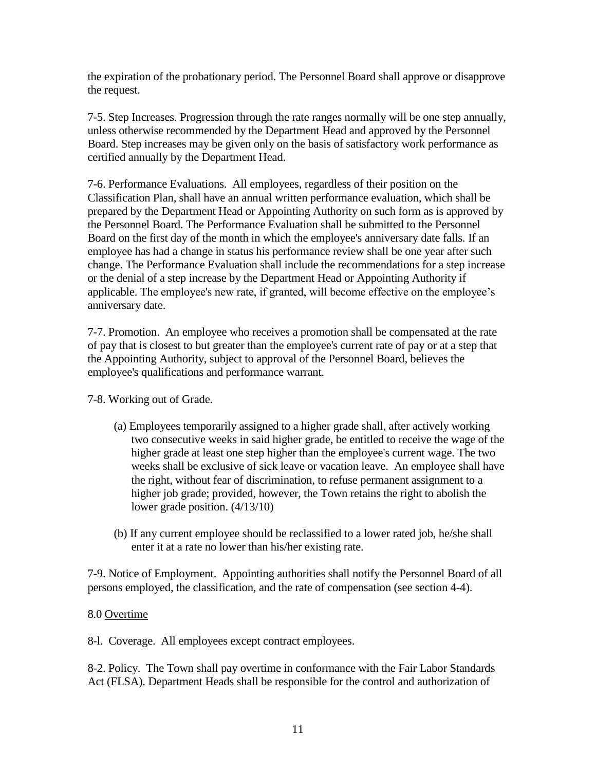the expiration of the probationary period. The Personnel Board shall approve or disapprove the request.

7-5. Step Increases. Progression through the rate ranges normally will be one step annually, unless otherwise recommended by the Department Head and approved by the Personnel Board. Step increases may be given only on the basis of satisfactory work performance as certified annually by the Department Head.

7-6. Performance Evaluations. All employees, regardless of their position on the Classification Plan, shall have an annual written performance evaluation, which shall be prepared by the Department Head or Appointing Authority on such form as is approved by the Personnel Board. The Performance Evaluation shall be submitted to the Personnel Board on the first day of the month in which the employee's anniversary date falls. If an employee has had a change in status his performance review shall be one year after such change. The Performance Evaluation shall include the recommendations for a step increase or the denial of a step increase by the Department Head or Appointing Authority if applicable. The employee's new rate, if granted, will become effective on the employee's anniversary date.

7-7. Promotion. An employee who receives a promotion shall be compensated at the rate of pay that is closest to but greater than the employee's current rate of pay or at a step that the Appointing Authority, subject to approval of the Personnel Board, believes the employee's qualifications and performance warrant.

7-8. Working out of Grade.

- (a) Employees temporarily assigned to a higher grade shall, after actively working two consecutive weeks in said higher grade, be entitled to receive the wage of the higher grade at least one step higher than the employee's current wage. The two weeks shall be exclusive of sick leave or vacation leave. An employee shall have the right, without fear of discrimination, to refuse permanent assignment to a higher job grade; provided, however, the Town retains the right to abolish the lower grade position. (4/13/10)
- (b) If any current employee should be reclassified to a lower rated job, he/she shall enter it at a rate no lower than his/her existing rate.

7-9. Notice of Employment. Appointing authorities shall notify the Personnel Board of all persons employed, the classification, and the rate of compensation (see section 4-4).

### 8.0 Overtime

8-l. Coverage. All employees except contract employees.

8-2. Policy. The Town shall pay overtime in conformance with the Fair Labor Standards Act (FLSA). Department Heads shall be responsible for the control and authorization of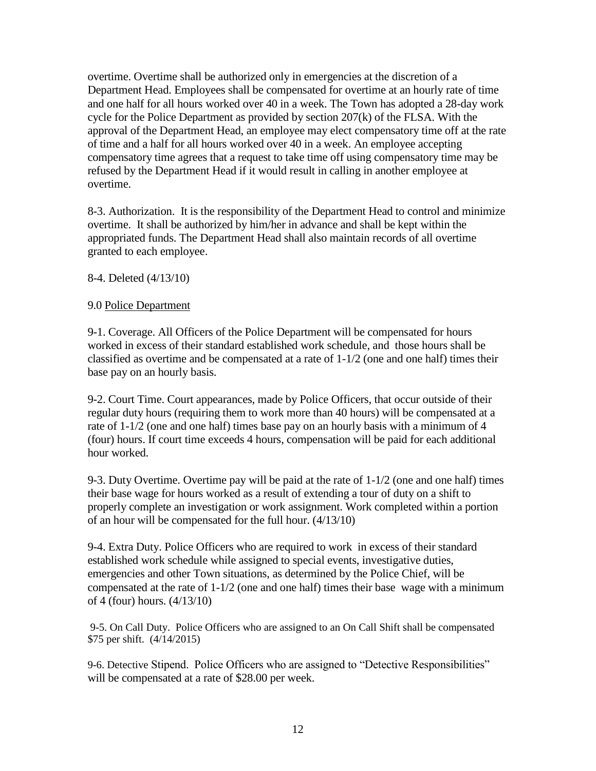overtime. Overtime shall be authorized only in emergencies at the discretion of a Department Head. Employees shall be compensated for overtime at an hourly rate of time and one half for all hours worked over 40 in a week. The Town has adopted a 28-day work cycle for the Police Department as provided by section 207(k) of the FLSA. With the approval of the Department Head, an employee may elect compensatory time off at the rate of time and a half for all hours worked over 40 in a week. An employee accepting compensatory time agrees that a request to take time off using compensatory time may be refused by the Department Head if it would result in calling in another employee at overtime.

8-3. Authorization. It is the responsibility of the Department Head to control and minimize overtime. It shall be authorized by him/her in advance and shall be kept within the appropriated funds. The Department Head shall also maintain records of all overtime granted to each employee.

8-4. Deleted (4/13/10)

### 9.0 Police Department

9-1. Coverage. All Officers of the Police Department will be compensated for hours worked in excess of their standard established work schedule, and those hours shall be classified as overtime and be compensated at a rate of 1-1/2 (one and one half) times their base pay on an hourly basis.

9-2. Court Time. Court appearances, made by Police Officers, that occur outside of their regular duty hours (requiring them to work more than 40 hours) will be compensated at a rate of 1-1/2 (one and one half) times base pay on an hourly basis with a minimum of 4 (four) hours. If court time exceeds 4 hours, compensation will be paid for each additional hour worked.

9-3. Duty Overtime. Overtime pay will be paid at the rate of 1-1/2 (one and one half) times their base wage for hours worked as a result of extending a tour of duty on a shift to properly complete an investigation or work assignment. Work completed within a portion of an hour will be compensated for the full hour. (4/13/10)

9-4. Extra Duty. Police Officers who are required to work in excess of their standard established work schedule while assigned to special events, investigative duties, emergencies and other Town situations, as determined by the Police Chief, will be compensated at the rate of  $1-1/2$  (one and one half) times their base wage with a minimum of 4 (four) hours. (4/13/10)

9-5. On Call Duty. Police Officers who are assigned to an On Call Shift shall be compensated \$75 per shift. (4/14/2015)

9-6. Detective Stipend. Police Officers who are assigned to "Detective Responsibilities" will be compensated at a rate of \$28.00 per week.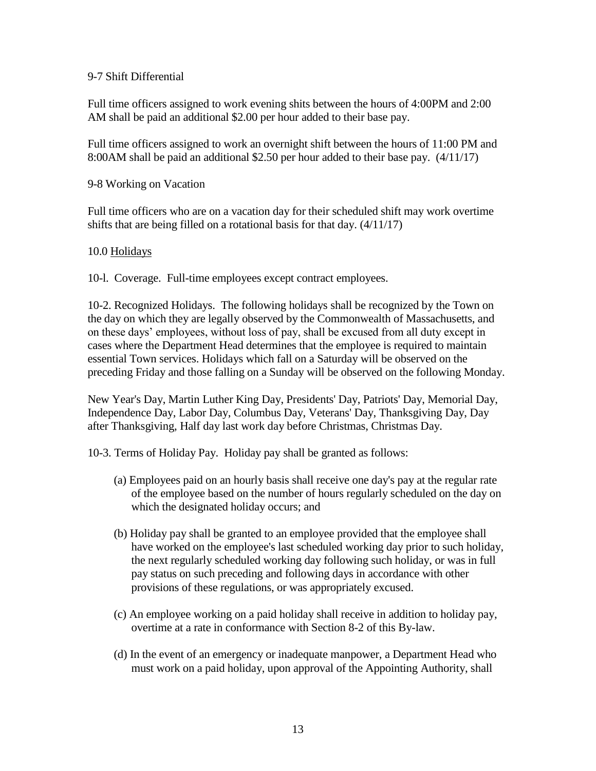#### 9-7 Shift Differential

Full time officers assigned to work evening shits between the hours of 4:00PM and 2:00 AM shall be paid an additional \$2.00 per hour added to their base pay.

Full time officers assigned to work an overnight shift between the hours of 11:00 PM and 8:00AM shall be paid an additional \$2.50 per hour added to their base pay. (4/11/17)

9-8 Working on Vacation

Full time officers who are on a vacation day for their scheduled shift may work overtime shifts that are being filled on a rotational basis for that day. (4/11/17)

#### 10.0 Holidays

10-l. Coverage. Full-time employees except contract employees.

10-2. Recognized Holidays. The following holidays shall be recognized by the Town on the day on which they are legally observed by the Commonwealth of Massachusetts, and on these days' employees, without loss of pay, shall be excused from all duty except in cases where the Department Head determines that the employee is required to maintain essential Town services. Holidays which fall on a Saturday will be observed on the preceding Friday and those falling on a Sunday will be observed on the following Monday.

New Year's Day, Martin Luther King Day, Presidents' Day, Patriots' Day, Memorial Day, Independence Day, Labor Day, Columbus Day, Veterans' Day, Thanksgiving Day, Day after Thanksgiving, Half day last work day before Christmas, Christmas Day.

10-3. Terms of Holiday Pay. Holiday pay shall be granted as follows:

- (a) Employees paid on an hourly basis shall receive one day's pay at the regular rate of the employee based on the number of hours regularly scheduled on the day on which the designated holiday occurs; and
- (b) Holiday pay shall be granted to an employee provided that the employee shall have worked on the employee's last scheduled working day prior to such holiday, the next regularly scheduled working day following such holiday, or was in full pay status on such preceding and following days in accordance with other provisions of these regulations, or was appropriately excused.
- (c) An employee working on a paid holiday shall receive in addition to holiday pay, overtime at a rate in conformance with Section 8-2 of this By-law.
- (d) In the event of an emergency or inadequate manpower, a Department Head who must work on a paid holiday, upon approval of the Appointing Authority, shall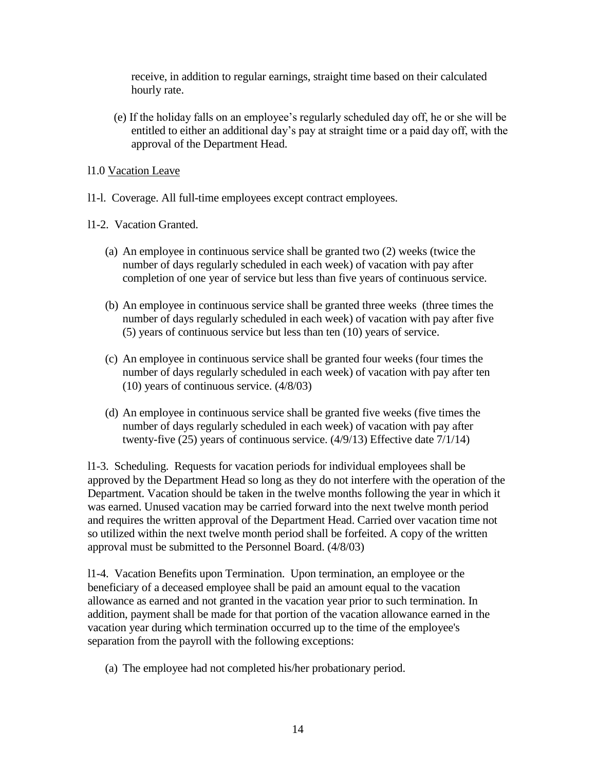receive, in addition to regular earnings, straight time based on their calculated hourly rate.

(e) If the holiday falls on an employee's regularly scheduled day off, he or she will be entitled to either an additional day's pay at straight time or a paid day off, with the approval of the Department Head.

l1.0 Vacation Leave

l1-l. Coverage. All full-time employees except contract employees.

l1-2. Vacation Granted.

- (a) An employee in continuous service shall be granted two (2) weeks (twice the number of days regularly scheduled in each week) of vacation with pay after completion of one year of service but less than five years of continuous service.
- (b) An employee in continuous service shall be granted three weeks (three times the number of days regularly scheduled in each week) of vacation with pay after five (5) years of continuous service but less than ten (10) years of service.
- (c) An employee in continuous service shall be granted four weeks (four times the number of days regularly scheduled in each week) of vacation with pay after ten (10) years of continuous service. (4/8/03)
- (d) An employee in continuous service shall be granted five weeks (five times the number of days regularly scheduled in each week) of vacation with pay after twenty-five (25) years of continuous service. (4/9/13) Effective date 7/1/14)

l1-3. Scheduling. Requests for vacation periods for individual employees shall be approved by the Department Head so long as they do not interfere with the operation of the Department. Vacation should be taken in the twelve months following the year in which it was earned. Unused vacation may be carried forward into the next twelve month period and requires the written approval of the Department Head. Carried over vacation time not so utilized within the next twelve month period shall be forfeited. A copy of the written approval must be submitted to the Personnel Board. (4/8/03)

l1-4. Vacation Benefits upon Termination. Upon termination, an employee or the beneficiary of a deceased employee shall be paid an amount equal to the vacation allowance as earned and not granted in the vacation year prior to such termination. In addition, payment shall be made for that portion of the vacation allowance earned in the vacation year during which termination occurred up to the time of the employee's separation from the payroll with the following exceptions:

(a) The employee had not completed his/her probationary period.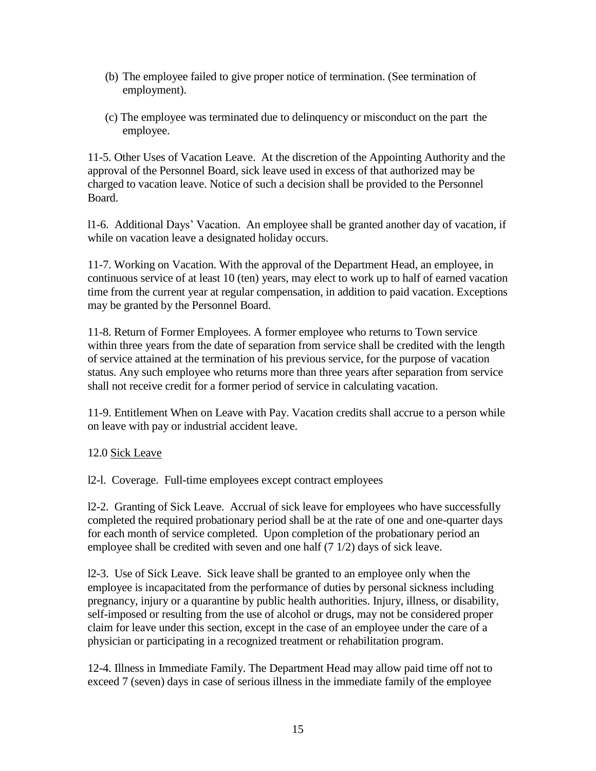- (b) The employee failed to give proper notice of termination. (See termination of employment).
- (c) The employee was terminated due to delinquency or misconduct on the part the employee.

11-5. Other Uses of Vacation Leave. At the discretion of the Appointing Authority and the approval of the Personnel Board, sick leave used in excess of that authorized may be charged to vacation leave. Notice of such a decision shall be provided to the Personnel Board.

l1-6. Additional Days' Vacation. An employee shall be granted another day of vacation, if while on vacation leave a designated holiday occurs.

11-7. Working on Vacation. With the approval of the Department Head, an employee, in continuous service of at least 10 (ten) years, may elect to work up to half of earned vacation time from the current year at regular compensation, in addition to paid vacation. Exceptions may be granted by the Personnel Board.

11-8. Return of Former Employees. A former employee who returns to Town service within three years from the date of separation from service shall be credited with the length of service attained at the termination of his previous service, for the purpose of vacation status. Any such employee who returns more than three years after separation from service shall not receive credit for a former period of service in calculating vacation.

11-9. Entitlement When on Leave with Pay. Vacation credits shall accrue to a person while on leave with pay or industrial accident leave.

### 12.0 Sick Leave

l2-l. Coverage. Full-time employees except contract employees

l2-2. Granting of Sick Leave. Accrual of sick leave for employees who have successfully completed the required probationary period shall be at the rate of one and one-quarter days for each month of service completed. Upon completion of the probationary period an employee shall be credited with seven and one half (7 1/2) days of sick leave.

l2-3. Use of Sick Leave. Sick leave shall be granted to an employee only when the employee is incapacitated from the performance of duties by personal sickness including pregnancy, injury or a quarantine by public health authorities. Injury, illness, or disability, self-imposed or resulting from the use of alcohol or drugs, may not be considered proper claim for leave under this section, except in the case of an employee under the care of a physician or participating in a recognized treatment or rehabilitation program.

12-4. Illness in Immediate Family. The Department Head may allow paid time off not to exceed 7 (seven) days in case of serious illness in the immediate family of the employee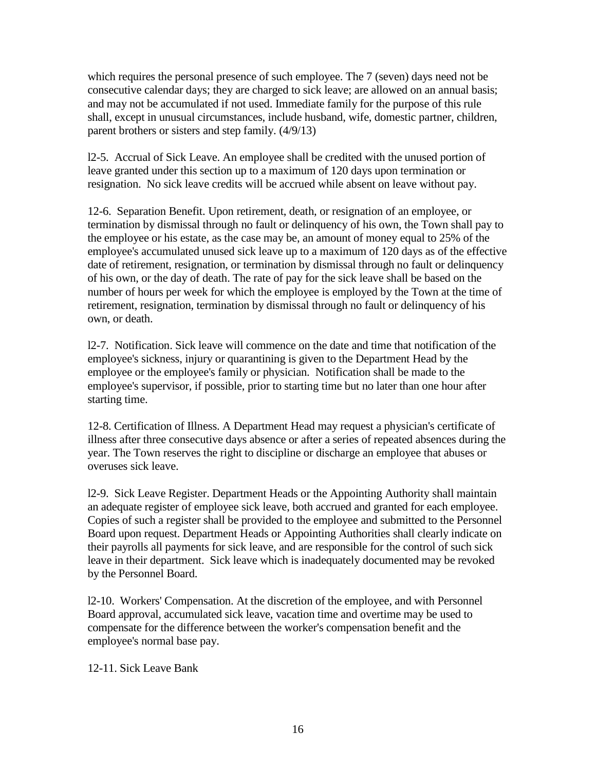which requires the personal presence of such employee. The 7 (seven) days need not be consecutive calendar days; they are charged to sick leave; are allowed on an annual basis; and may not be accumulated if not used. Immediate family for the purpose of this rule shall, except in unusual circumstances, include husband, wife, domestic partner, children, parent brothers or sisters and step family. (4/9/13)

l2-5. Accrual of Sick Leave. An employee shall be credited with the unused portion of leave granted under this section up to a maximum of 120 days upon termination or resignation. No sick leave credits will be accrued while absent on leave without pay.

12-6. Separation Benefit. Upon retirement, death, or resignation of an employee, or termination by dismissal through no fault or delinquency of his own, the Town shall pay to the employee or his estate, as the case may be, an amount of money equal to 25% of the employee's accumulated unused sick leave up to a maximum of 120 days as of the effective date of retirement, resignation, or termination by dismissal through no fault or delinquency of his own, or the day of death. The rate of pay for the sick leave shall be based on the number of hours per week for which the employee is employed by the Town at the time of retirement, resignation, termination by dismissal through no fault or delinquency of his own, or death.

l2-7. Notification. Sick leave will commence on the date and time that notification of the employee's sickness, injury or quarantining is given to the Department Head by the employee or the employee's family or physician. Notification shall be made to the employee's supervisor, if possible, prior to starting time but no later than one hour after starting time.

12-8. Certification of Illness. A Department Head may request a physician's certificate of illness after three consecutive days absence or after a series of repeated absences during the year. The Town reserves the right to discipline or discharge an employee that abuses or overuses sick leave.

l2-9. Sick Leave Register. Department Heads or the Appointing Authority shall maintain an adequate register of employee sick leave, both accrued and granted for each employee. Copies of such a register shall be provided to the employee and submitted to the Personnel Board upon request. Department Heads or Appointing Authorities shall clearly indicate on their payrolls all payments for sick leave, and are responsible for the control of such sick leave in their department. Sick leave which is inadequately documented may be revoked by the Personnel Board.

l2-10. Workers' Compensation. At the discretion of the employee, and with Personnel Board approval, accumulated sick leave, vacation time and overtime may be used to compensate for the difference between the worker's compensation benefit and the employee's normal base pay.

12-11. Sick Leave Bank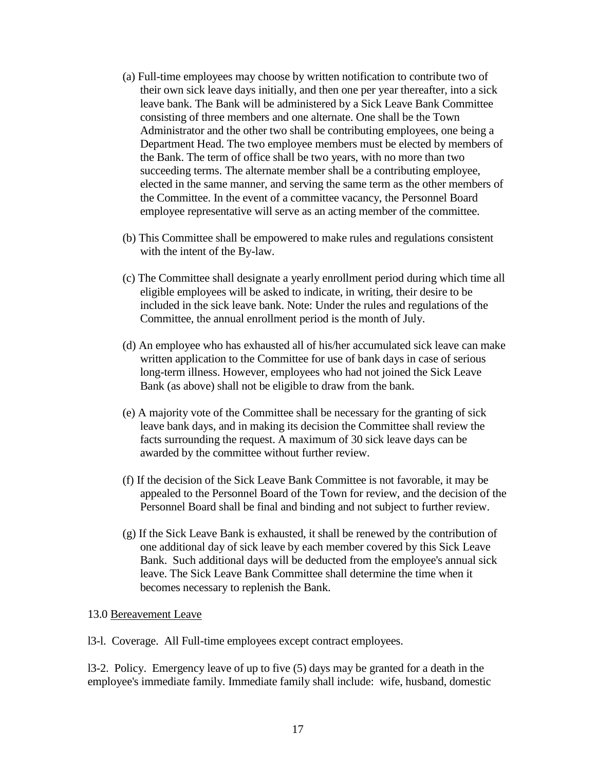- (a) Full-time employees may choose by written notification to contribute two of their own sick leave days initially, and then one per year thereafter, into a sick leave bank. The Bank will be administered by a Sick Leave Bank Committee consisting of three members and one alternate. One shall be the Town Administrator and the other two shall be contributing employees, one being a Department Head. The two employee members must be elected by members of the Bank. The term of office shall be two years, with no more than two succeeding terms. The alternate member shall be a contributing employee, elected in the same manner, and serving the same term as the other members of the Committee. In the event of a committee vacancy, the Personnel Board employee representative will serve as an acting member of the committee.
- (b) This Committee shall be empowered to make rules and regulations consistent with the intent of the By-law.
- (c) The Committee shall designate a yearly enrollment period during which time all eligible employees will be asked to indicate, in writing, their desire to be included in the sick leave bank. Note: Under the rules and regulations of the Committee, the annual enrollment period is the month of July.
- (d) An employee who has exhausted all of his/her accumulated sick leave can make written application to the Committee for use of bank days in case of serious long-term illness. However, employees who had not joined the Sick Leave Bank (as above) shall not be eligible to draw from the bank.
- (e) A majority vote of the Committee shall be necessary for the granting of sick leave bank days, and in making its decision the Committee shall review the facts surrounding the request. A maximum of 30 sick leave days can be awarded by the committee without further review.
- (f) If the decision of the Sick Leave Bank Committee is not favorable, it may be appealed to the Personnel Board of the Town for review, and the decision of the Personnel Board shall be final and binding and not subject to further review.
- (g) If the Sick Leave Bank is exhausted, it shall be renewed by the contribution of one additional day of sick leave by each member covered by this Sick Leave Bank. Such additional days will be deducted from the employee's annual sick leave. The Sick Leave Bank Committee shall determine the time when it becomes necessary to replenish the Bank.

#### 13.0 Bereavement Leave

l3-l. Coverage. All Full-time employees except contract employees.

l3-2. Policy. Emergency leave of up to five (5) days may be granted for a death in the employee's immediate family. Immediate family shall include: wife, husband, domestic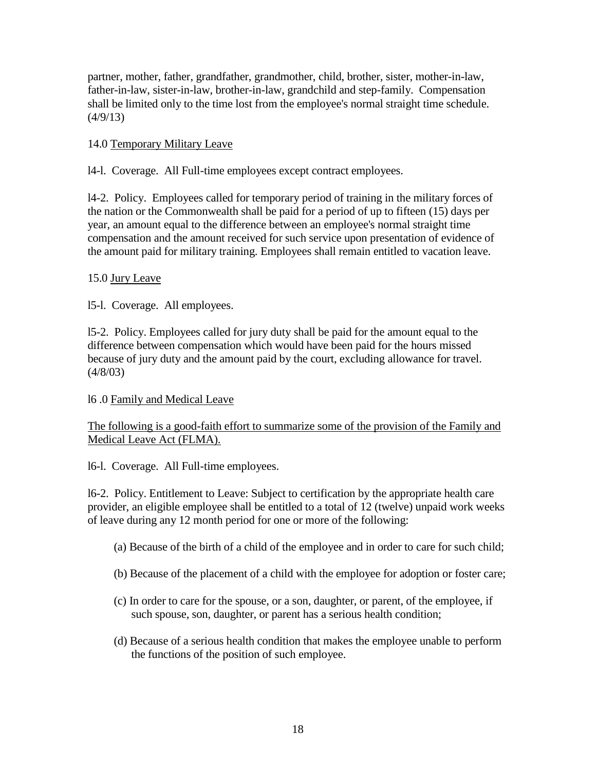partner, mother, father, grandfather, grandmother, child, brother, sister, mother-in-law, father-in-law, sister-in-law, brother-in-law, grandchild and step-family. Compensation shall be limited only to the time lost from the employee's normal straight time schedule.  $(4/9/13)$ 

### 14.0 Temporary Military Leave

l4-l. Coverage. All Full-time employees except contract employees.

l4-2. Policy. Employees called for temporary period of training in the military forces of the nation or the Commonwealth shall be paid for a period of up to fifteen (15) days per year, an amount equal to the difference between an employee's normal straight time compensation and the amount received for such service upon presentation of evidence of the amount paid for military training. Employees shall remain entitled to vacation leave.

### 15.0 Jury Leave

l5-l. Coverage. All employees.

l5-2. Policy. Employees called for jury duty shall be paid for the amount equal to the difference between compensation which would have been paid for the hours missed because of jury duty and the amount paid by the court, excluding allowance for travel.  $(4/8/03)$ 

# l6 .0 Family and Medical Leave

### The following is a good-faith effort to summarize some of the provision of the Family and Medical Leave Act (FLMA).

l6-l. Coverage. All Full-time employees.

l6-2. Policy. Entitlement to Leave: Subject to certification by the appropriate health care provider, an eligible employee shall be entitled to a total of 12 (twelve) unpaid work weeks of leave during any 12 month period for one or more of the following:

- (a) Because of the birth of a child of the employee and in order to care for such child;
- (b) Because of the placement of a child with the employee for adoption or foster care;
- (c) In order to care for the spouse, or a son, daughter, or parent, of the employee, if such spouse, son, daughter, or parent has a serious health condition;
- (d) Because of a serious health condition that makes the employee unable to perform the functions of the position of such employee.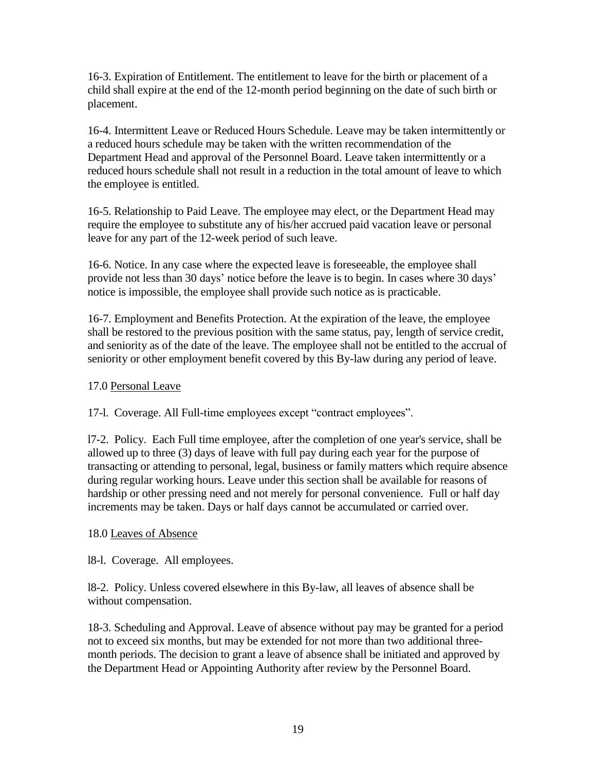16-3. Expiration of Entitlement. The entitlement to leave for the birth or placement of a child shall expire at the end of the 12-month period beginning on the date of such birth or placement.

16-4. Intermittent Leave or Reduced Hours Schedule. Leave may be taken intermittently or a reduced hours schedule may be taken with the written recommendation of the Department Head and approval of the Personnel Board. Leave taken intermittently or a reduced hours schedule shall not result in a reduction in the total amount of leave to which the employee is entitled.

16-5. Relationship to Paid Leave. The employee may elect, or the Department Head may require the employee to substitute any of his/her accrued paid vacation leave or personal leave for any part of the 12-week period of such leave.

16-6. Notice. In any case where the expected leave is foreseeable, the employee shall provide not less than 30 days' notice before the leave is to begin. In cases where 30 days' notice is impossible, the employee shall provide such notice as is practicable.

16-7. Employment and Benefits Protection. At the expiration of the leave, the employee shall be restored to the previous position with the same status, pay, length of service credit, and seniority as of the date of the leave. The employee shall not be entitled to the accrual of seniority or other employment benefit covered by this By-law during any period of leave.

### 17.0 Personal Leave

17-l. Coverage. All Full-time employees except "contract employees".

l7-2. Policy. Each Full time employee, after the completion of one year's service, shall be allowed up to three (3) days of leave with full pay during each year for the purpose of transacting or attending to personal, legal, business or family matters which require absence during regular working hours. Leave under this section shall be available for reasons of hardship or other pressing need and not merely for personal convenience. Full or half day increments may be taken. Days or half days cannot be accumulated or carried over.

### 18.0 Leaves of Absence

l8-l. Coverage. All employees.

l8-2. Policy. Unless covered elsewhere in this By-law, all leaves of absence shall be without compensation.

18-3. Scheduling and Approval. Leave of absence without pay may be granted for a period not to exceed six months, but may be extended for not more than two additional threemonth periods. The decision to grant a leave of absence shall be initiated and approved by the Department Head or Appointing Authority after review by the Personnel Board.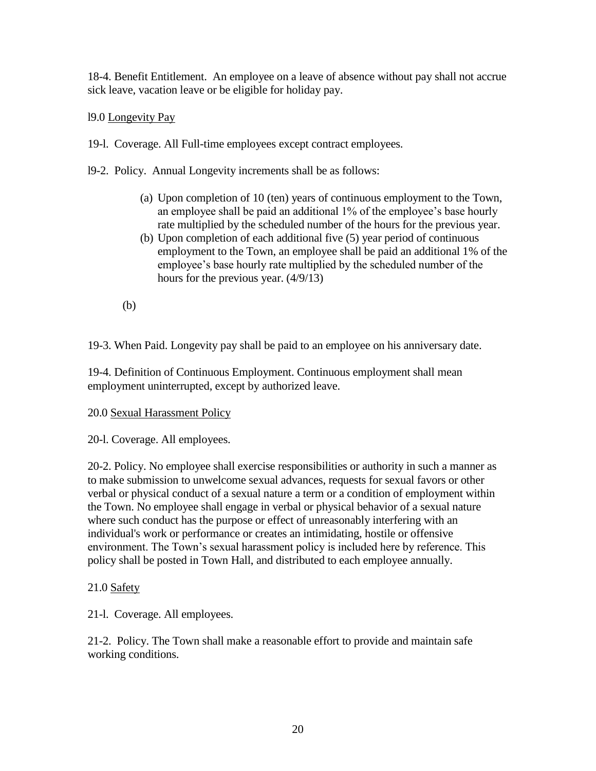18-4. Benefit Entitlement. An employee on a leave of absence without pay shall not accrue sick leave, vacation leave or be eligible for holiday pay.

l9.0 Longevity Pay

19-l. Coverage. All Full-time employees except contract employees.

- l9-2. Policy. Annual Longevity increments shall be as follows:
	- (a) Upon completion of 10 (ten) years of continuous employment to the Town, an employee shall be paid an additional 1% of the employee's base hourly rate multiplied by the scheduled number of the hours for the previous year.
	- (b) Upon completion of each additional five (5) year period of continuous employment to the Town, an employee shall be paid an additional 1% of the employee's base hourly rate multiplied by the scheduled number of the hours for the previous year. (4/9/13)
	- (b)

19-3. When Paid. Longevity pay shall be paid to an employee on his anniversary date.

19-4. Definition of Continuous Employment. Continuous employment shall mean employment uninterrupted, except by authorized leave.

### 20.0 Sexual Harassment Policy

20-l. Coverage. All employees.

20-2. Policy. No employee shall exercise responsibilities or authority in such a manner as to make submission to unwelcome sexual advances, requests for sexual favors or other verbal or physical conduct of a sexual nature a term or a condition of employment within the Town. No employee shall engage in verbal or physical behavior of a sexual nature where such conduct has the purpose or effect of unreasonably interfering with an individual's work or performance or creates an intimidating, hostile or offensive environment. The Town's sexual harassment policy is included here by reference. This policy shall be posted in Town Hall, and distributed to each employee annually.

# 21.0 Safety

21-l. Coverage. All employees.

21-2. Policy. The Town shall make a reasonable effort to provide and maintain safe working conditions.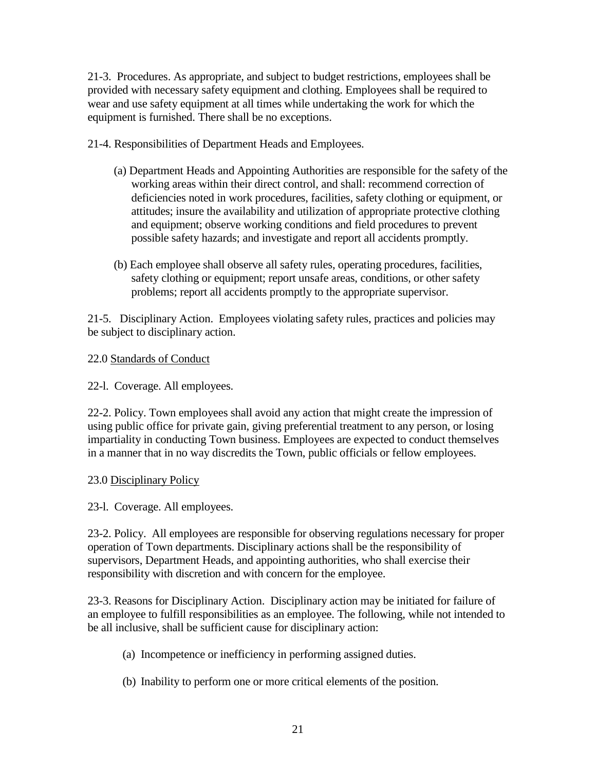21-3. Procedures. As appropriate, and subject to budget restrictions, employees shall be provided with necessary safety equipment and clothing. Employees shall be required to wear and use safety equipment at all times while undertaking the work for which the equipment is furnished. There shall be no exceptions.

21-4. Responsibilities of Department Heads and Employees.

- (a) Department Heads and Appointing Authorities are responsible for the safety of the working areas within their direct control, and shall: recommend correction of deficiencies noted in work procedures, facilities, safety clothing or equipment, or attitudes; insure the availability and utilization of appropriate protective clothing and equipment; observe working conditions and field procedures to prevent possible safety hazards; and investigate and report all accidents promptly.
- (b) Each employee shall observe all safety rules, operating procedures, facilities, safety clothing or equipment; report unsafe areas, conditions, or other safety problems; report all accidents promptly to the appropriate supervisor.

21-5. Disciplinary Action. Employees violating safety rules, practices and policies may be subject to disciplinary action.

22.0 Standards of Conduct

22-l. Coverage. All employees.

22-2. Policy. Town employees shall avoid any action that might create the impression of using public office for private gain, giving preferential treatment to any person, or losing impartiality in conducting Town business. Employees are expected to conduct themselves in a manner that in no way discredits the Town, public officials or fellow employees.

### 23.0 Disciplinary Policy

23-l. Coverage. All employees.

23-2. Policy. All employees are responsible for observing regulations necessary for proper operation of Town departments. Disciplinary actions shall be the responsibility of supervisors, Department Heads, and appointing authorities, who shall exercise their responsibility with discretion and with concern for the employee.

23-3. Reasons for Disciplinary Action. Disciplinary action may be initiated for failure of an employee to fulfill responsibilities as an employee. The following, while not intended to be all inclusive, shall be sufficient cause for disciplinary action:

- (a) Incompetence or inefficiency in performing assigned duties.
- (b) Inability to perform one or more critical elements of the position.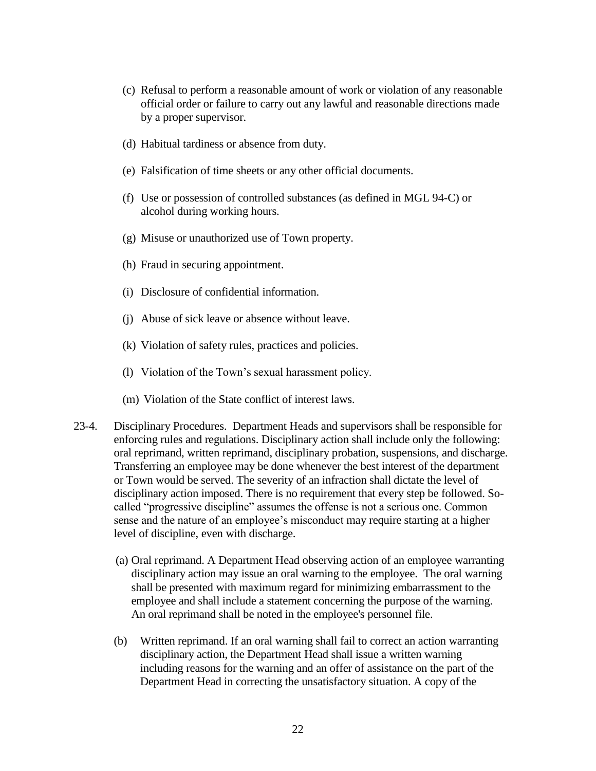- (c) Refusal to perform a reasonable amount of work or violation of any reasonable official order or failure to carry out any lawful and reasonable directions made by a proper supervisor.
- (d) Habitual tardiness or absence from duty.
- (e) Falsification of time sheets or any other official documents.
- (f) Use or possession of controlled substances (as defined in MGL 94-C) or alcohol during working hours.
- (g) Misuse or unauthorized use of Town property.
- (h) Fraud in securing appointment.
- (i) Disclosure of confidential information.
- (j) Abuse of sick leave or absence without leave.
- (k) Violation of safety rules, practices and policies.
- (l) Violation of the Town's sexual harassment policy.
- (m) Violation of the State conflict of interest laws.
- 23-4. Disciplinary Procedures. Department Heads and supervisors shall be responsible for enforcing rules and regulations. Disciplinary action shall include only the following: oral reprimand, written reprimand, disciplinary probation, suspensions, and discharge. Transferring an employee may be done whenever the best interest of the department or Town would be served. The severity of an infraction shall dictate the level of disciplinary action imposed. There is no requirement that every step be followed. Socalled "progressive discipline" assumes the offense is not a serious one. Common sense and the nature of an employee's misconduct may require starting at a higher level of discipline, even with discharge.
	- (a) Oral reprimand. A Department Head observing action of an employee warranting disciplinary action may issue an oral warning to the employee. The oral warning shall be presented with maximum regard for minimizing embarrassment to the employee and shall include a statement concerning the purpose of the warning. An oral reprimand shall be noted in the employee's personnel file.
	- (b) Written reprimand. If an oral warning shall fail to correct an action warranting disciplinary action, the Department Head shall issue a written warning including reasons for the warning and an offer of assistance on the part of the Department Head in correcting the unsatisfactory situation. A copy of the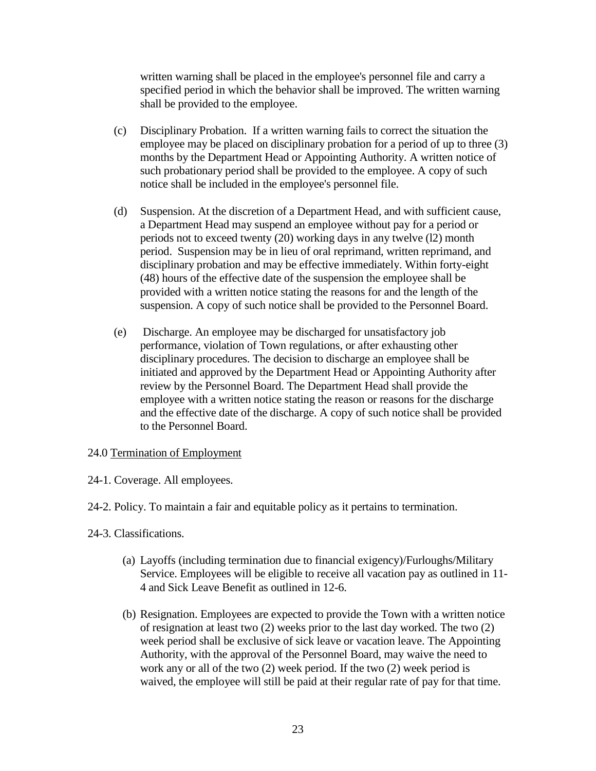written warning shall be placed in the employee's personnel file and carry a specified period in which the behavior shall be improved. The written warning shall be provided to the employee.

- (c) Disciplinary Probation. If a written warning fails to correct the situation the employee may be placed on disciplinary probation for a period of up to three (3) months by the Department Head or Appointing Authority. A written notice of such probationary period shall be provided to the employee. A copy of such notice shall be included in the employee's personnel file.
- (d) Suspension. At the discretion of a Department Head, and with sufficient cause, a Department Head may suspend an employee without pay for a period or periods not to exceed twenty (20) working days in any twelve (l2) month period. Suspension may be in lieu of oral reprimand, written reprimand, and disciplinary probation and may be effective immediately. Within forty-eight (48) hours of the effective date of the suspension the employee shall be provided with a written notice stating the reasons for and the length of the suspension. A copy of such notice shall be provided to the Personnel Board.
- (e) Discharge. An employee may be discharged for unsatisfactory job performance, violation of Town regulations, or after exhausting other disciplinary procedures. The decision to discharge an employee shall be initiated and approved by the Department Head or Appointing Authority after review by the Personnel Board. The Department Head shall provide the employee with a written notice stating the reason or reasons for the discharge and the effective date of the discharge. A copy of such notice shall be provided to the Personnel Board.

#### 24.0 Termination of Employment

- 24-1. Coverage. All employees.
- 24-2. Policy. To maintain a fair and equitable policy as it pertains to termination.
- 24-3. Classifications.
	- (a) Layoffs (including termination due to financial exigency)/Furloughs/Military Service. Employees will be eligible to receive all vacation pay as outlined in 11- 4 and Sick Leave Benefit as outlined in 12-6.
	- (b) Resignation. Employees are expected to provide the Town with a written notice of resignation at least two (2) weeks prior to the last day worked. The two (2) week period shall be exclusive of sick leave or vacation leave. The Appointing Authority, with the approval of the Personnel Board, may waive the need to work any or all of the two (2) week period. If the two (2) week period is waived, the employee will still be paid at their regular rate of pay for that time.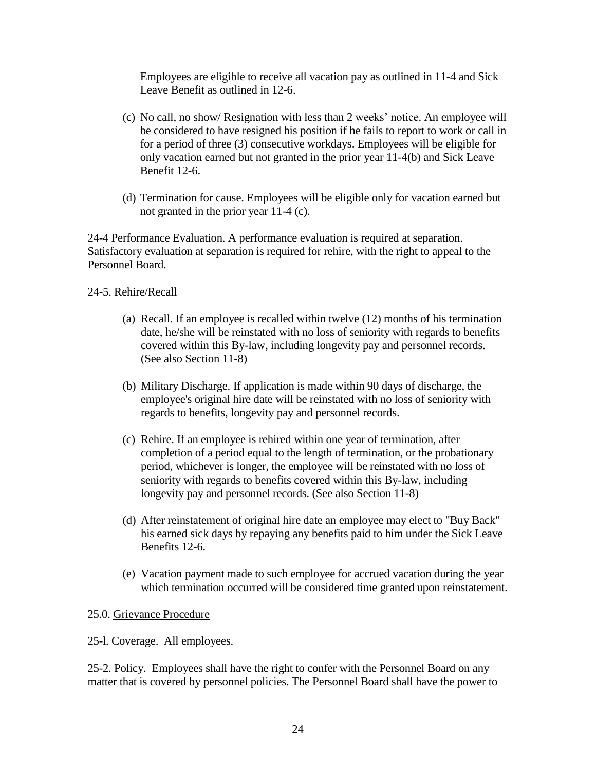Employees are eligible to receive all vacation pay as outlined in 11-4 and Sick Leave Benefit as outlined in 12-6.

- (c) No call, no show/ Resignation with less than 2 weeks' notice. An employee will be considered to have resigned his position if he fails to report to work or call in for a period of three (3) consecutive workdays. Employees will be eligible for only vacation earned but not granted in the prior year 11-4(b) and Sick Leave Benefit 12-6.
- (d) Termination for cause. Employees will be eligible only for vacation earned but not granted in the prior year 11-4 (c).

24-4 Performance Evaluation. A performance evaluation is required at separation. Satisfactory evaluation at separation is required for rehire, with the right to appeal to the Personnel Board.

### 24-5. Rehire/Recall

- (a) Recall. If an employee is recalled within twelve (12) months of his termination date, he/she will be reinstated with no loss of seniority with regards to benefits covered within this By-law, including longevity pay and personnel records. (See also Section 11-8)
- (b) Military Discharge. If application is made within 90 days of discharge, the employee's original hire date will be reinstated with no loss of seniority with regards to benefits, longevity pay and personnel records.
- (c) Rehire. If an employee is rehired within one year of termination, after completion of a period equal to the length of termination, or the probationary period, whichever is longer, the employee will be reinstated with no loss of seniority with regards to benefits covered within this By-law, including longevity pay and personnel records. (See also Section 11-8)
- (d) After reinstatement of original hire date an employee may elect to "Buy Back" his earned sick days by repaying any benefits paid to him under the Sick Leave Benefits 12-6.
- (e) Vacation payment made to such employee for accrued vacation during the year which termination occurred will be considered time granted upon reinstatement.

#### 25.0. Grievance Procedure

25-l. Coverage. All employees.

25-2. Policy. Employees shall have the right to confer with the Personnel Board on any matter that is covered by personnel policies. The Personnel Board shall have the power to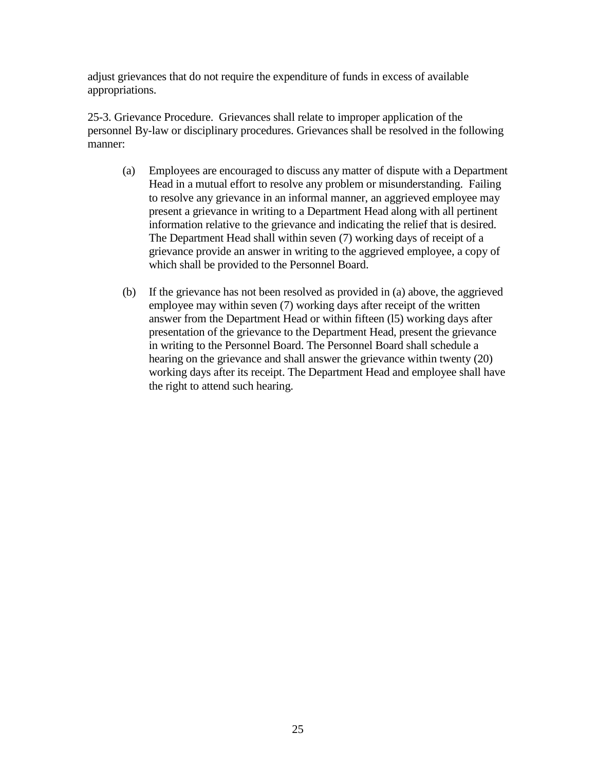adjust grievances that do not require the expenditure of funds in excess of available appropriations.

25-3. Grievance Procedure. Grievances shall relate to improper application of the personnel By-law or disciplinary procedures. Grievances shall be resolved in the following manner:

- (a) Employees are encouraged to discuss any matter of dispute with a Department Head in a mutual effort to resolve any problem or misunderstanding. Failing to resolve any grievance in an informal manner, an aggrieved employee may present a grievance in writing to a Department Head along with all pertinent information relative to the grievance and indicating the relief that is desired. The Department Head shall within seven (7) working days of receipt of a grievance provide an answer in writing to the aggrieved employee, a copy of which shall be provided to the Personnel Board.
- (b) If the grievance has not been resolved as provided in (a) above, the aggrieved employee may within seven (7) working days after receipt of the written answer from the Department Head or within fifteen (l5) working days after presentation of the grievance to the Department Head, present the grievance in writing to the Personnel Board. The Personnel Board shall schedule a hearing on the grievance and shall answer the grievance within twenty (20) working days after its receipt. The Department Head and employee shall have the right to attend such hearing.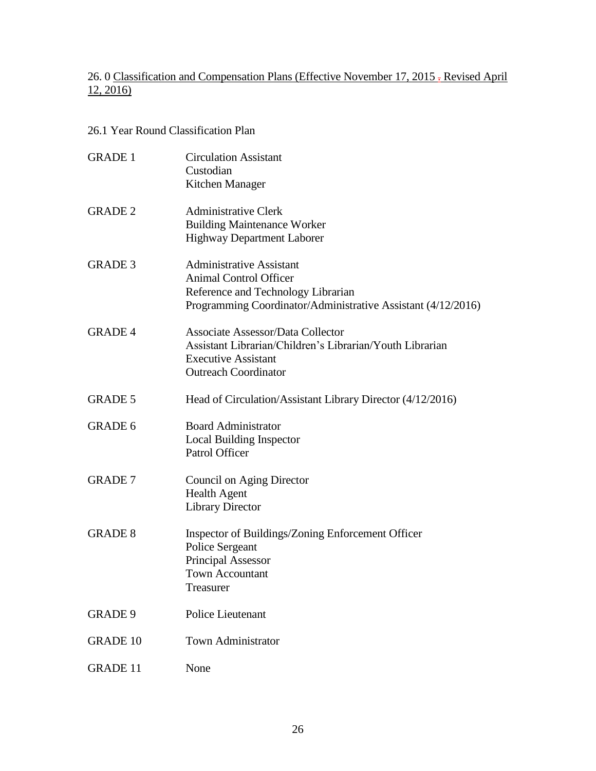# 26. 0 Classification and Compensation Plans (Effective November 17, 2015 - Revised April  $12, 2016$

# 26.1 Year Round Classification Plan

| <b>GRADE 1</b>  | <b>Circulation Assistant</b><br>Custodian<br>Kitchen Manager                                                                                                           |
|-----------------|------------------------------------------------------------------------------------------------------------------------------------------------------------------------|
| <b>GRADE 2</b>  | <b>Administrative Clerk</b><br><b>Building Maintenance Worker</b><br><b>Highway Department Laborer</b>                                                                 |
| <b>GRADE 3</b>  | <b>Administrative Assistant</b><br><b>Animal Control Officer</b><br>Reference and Technology Librarian<br>Programming Coordinator/Administrative Assistant (4/12/2016) |
| <b>GRADE 4</b>  | <b>Associate Assessor/Data Collector</b><br>Assistant Librarian/Children's Librarian/Youth Librarian<br><b>Executive Assistant</b><br><b>Outreach Coordinator</b>      |
| <b>GRADE 5</b>  | Head of Circulation/Assistant Library Director (4/12/2016)                                                                                                             |
| <b>GRADE 6</b>  | <b>Board Administrator</b><br><b>Local Building Inspector</b><br>Patrol Officer                                                                                        |
| <b>GRADE 7</b>  | Council on Aging Director<br><b>Health Agent</b><br><b>Library Director</b>                                                                                            |
| <b>GRADE 8</b>  | Inspector of Buildings/Zoning Enforcement Officer<br><b>Police Sergeant</b><br><b>Principal Assessor</b><br><b>Town Accountant</b><br>Treasurer                        |
| <b>GRADE 9</b>  | <b>Police Lieutenant</b>                                                                                                                                               |
| <b>GRADE 10</b> | <b>Town Administrator</b>                                                                                                                                              |
| <b>GRADE 11</b> | None                                                                                                                                                                   |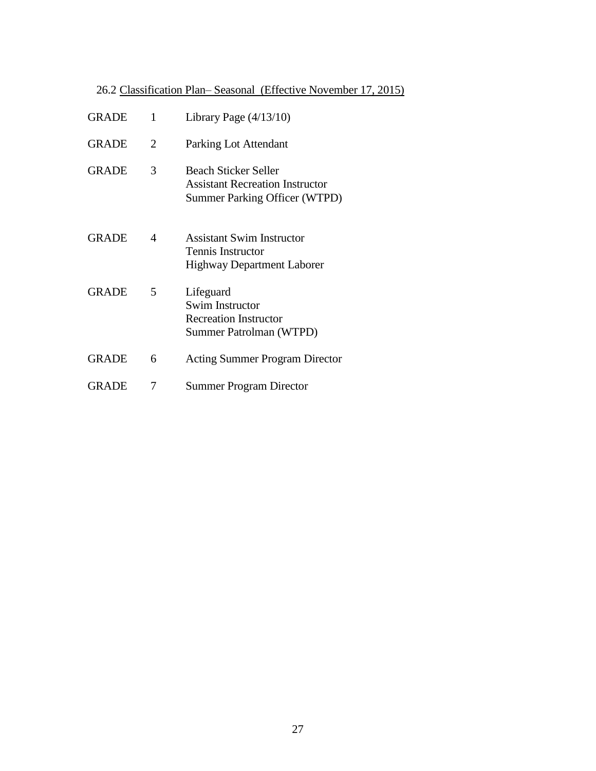# 26.2 Classification Plan– Seasonal (Effective November 17, 2015)

| <b>GRADE</b> | 1 | Library Page $(4/13/10)$                                                                               |
|--------------|---|--------------------------------------------------------------------------------------------------------|
| <b>GRADE</b> | 2 | Parking Lot Attendant                                                                                  |
| <b>GRADE</b> | 3 | Beach Sticker Seller<br><b>Assistant Recreation Instructor</b><br><b>Summer Parking Officer (WTPD)</b> |
| <b>GRADE</b> | 4 | Assistant Swim Instructor<br>Tennis Instructor<br><b>Highway Department Laborer</b>                    |
| <b>GRADE</b> | 5 | Lifeguard<br>Swim Instructor<br><b>Recreation Instructor</b><br>Summer Patrolman (WTPD)                |
| <b>GRADE</b> | 6 | <b>Acting Summer Program Director</b>                                                                  |
| <b>GRADE</b> | 7 | <b>Summer Program Director</b>                                                                         |